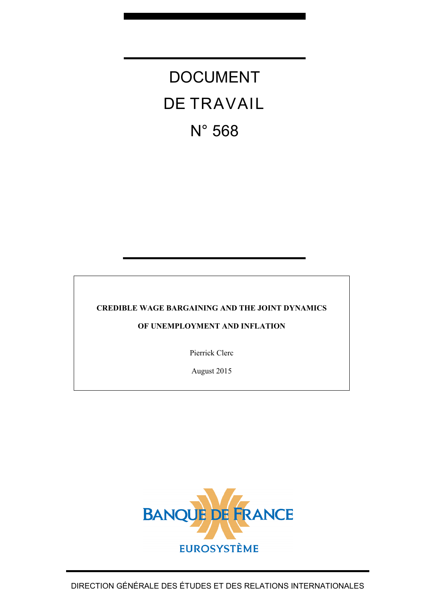DOCUMENT DE TRAVAIL N° 568

**CREDIBLE WAGE BARGAINING AND THE JOINT DYNAMICS**

## **OF UNEMPLOYMENT AND INFLATION**

Pierrick Clerc

August 2015

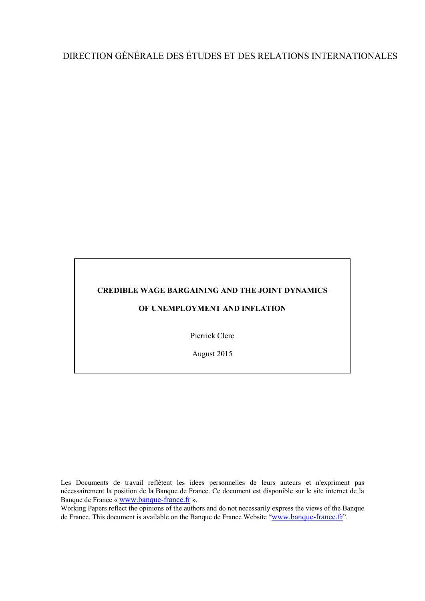## DIRECTION GÉNÉRALE DES ÉTUDES ET DES RELATIONS INTERNATIONALES

#### **CREDIBLE WAGE BARGAINING AND THE JOINT DYNAMICS**

#### **OF UNEMPLOYMENT AND INFLATION**

Pierrick Clerc

August 2015

Les Documents de travail reflètent les idées personnelles de leurs auteurs et n'expriment pas nécessairement la position de la Banque de France. Ce document est disponible sur le site internet de la Banque de France « [www.banque-france.fr](http://www.banque-france.fr/) ».

Working Papers reflect the opinions of the authors and do not necessarily express the views of the Banque de France. This document is available on the Banque de France Website ["www.banque-france.fr"](http://www.banque-france.fr/).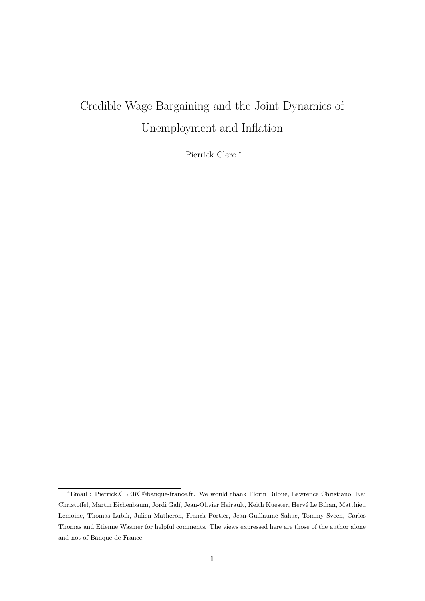# Credible Wage Bargaining and the Joint Dynamics of Unemployment and Inflation

Pierrick Clerc <sup>∗</sup>

<sup>∗</sup>Email : Pierrick.CLERC@banque-france.fr. We would thank Florin Bilbiie, Lawrence Christiano, Kai Christoffel, Martin Eichenbaum, Jordi Gal´ı, Jean-Olivier Hairault, Keith Kuester, Herv´e Le Bihan, Matthieu Lemoine, Thomas Lubik, Julien Matheron, Franck Portier, Jean-Guillaume Sahuc, Tommy Sveen, Carlos Thomas and Etienne Wasmer for helpful comments. The views expressed here are those of the author alone and not of Banque de France.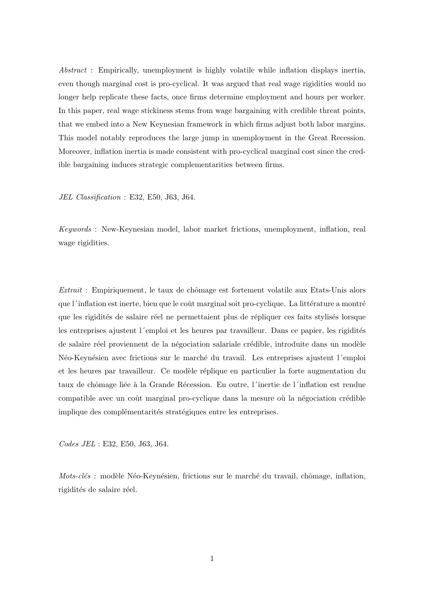Abstract : Empirically, unemployment is highly volatile while inflation displays inertia, even though marginal cost is pro-cyclical. It was argued that real wage rigidities would no longer help replicate these facts, once firms determine employment and hours per worker. In this paper, real wage stickiness stems from wage bargaining with credible threat points, that we embed into a New Keynesian framework in which firms adjust both labor margins. This model notably reproduces the large jump in unemployment in the Great Recession. Moreover, inflation inertia is made consistent with pro-cyclical marginal cost since the credible bargaining induces strategic complementarities between firms.

JEL Classification : E32, E50, J63, J64.

Keywords : New-Keynesian model, labor market frictions, unemployment, inflation, real wage rigidities.

 $Extrait: Empiriquement, le taux de chômage est fortement volatile aux Etats-Unis alors$ que l'inflation est inerte, bien que le coût marginal soit pro-cyclique. La littérature a montré que les rigidités de salaire réel ne permettaient plus de répliquer ces faits stylisés lorsque les entreprises ajustent l'emploi et les heures par travailleur. Dans ce papier, les rigidités de salaire réel proviennent de la négociation salariale crédible, introduite dans un modèle Néo-Keynésien avec frictions sur le marché du travail. Les entreprises ajustent l'emploi et les heures par travailleur. Ce modèle réplique en particulier la forte augmentation du taux de chômage liée à la Grande Récession. En outre, l'inertie de l'inflation est rendue compatible avec un coût marginal pro-cyclique dans la mesure où la négociation crédible implique des complémentarités stratégiques entre les entreprises.

Codes JEL : E32, E50, J63, J64.

 $Mots$ -clés : modèle Néo-Keynésien, frictions sur le marché du travail, chômage, inflation, rigidités de salaire réel.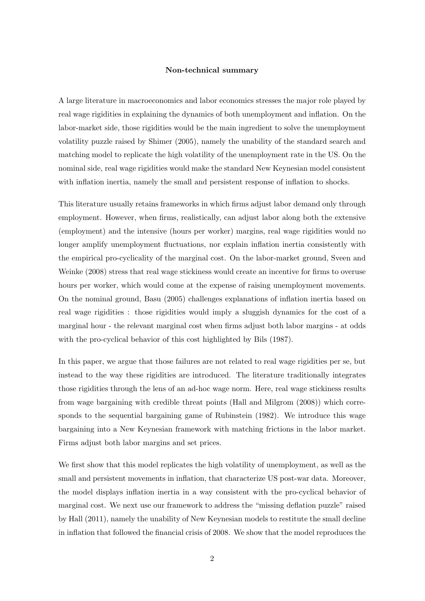#### Non-technical summary

A large literature in macroeconomics and labor economics stresses the major role played by real wage rigidities in explaining the dynamics of both unemployment and inflation. On the labor-market side, those rigidities would be the main ingredient to solve the unemployment volatility puzzle raised by Shimer (2005), namely the unability of the standard search and matching model to replicate the high volatility of the unemployment rate in the US. On the nominal side, real wage rigidities would make the standard New Keynesian model consistent with inflation inertia, namely the small and persistent response of inflation to shocks.

This literature usually retains frameworks in which firms adjust labor demand only through employment. However, when firms, realistically, can adjust labor along both the extensive (employment) and the intensive (hours per worker) margins, real wage rigidities would no longer amplify unemployment fluctuations, nor explain inflation inertia consistently with the empirical pro-cyclicality of the marginal cost. On the labor-market ground, Sveen and Weinke (2008) stress that real wage stickiness would create an incentive for firms to overuse hours per worker, which would come at the expense of raising unemployment movements. On the nominal ground, Basu (2005) challenges explanations of inflation inertia based on real wage rigidities : those rigidities would imply a sluggish dynamics for the cost of a marginal hour - the relevant marginal cost when firms adjust both labor margins - at odds with the pro-cyclical behavior of this cost highlighted by Bils (1987).

In this paper, we argue that those failures are not related to real wage rigidities per se, but instead to the way these rigidities are introduced. The literature traditionally integrates those rigidities through the lens of an ad-hoc wage norm. Here, real wage stickiness results from wage bargaining with credible threat points (Hall and Milgrom (2008)) which corresponds to the sequential bargaining game of Rubinstein (1982). We introduce this wage bargaining into a New Keynesian framework with matching frictions in the labor market. Firms adjust both labor margins and set prices.

We first show that this model replicates the high volatility of unemployment, as well as the small and persistent movements in inflation, that characterize US post-war data. Moreover, the model displays inflation inertia in a way consistent with the pro-cyclical behavior of marginal cost. We next use our framework to address the "missing deflation puzzle" raised by Hall (2011), namely the unability of New Keynesian models to restitute the small decline in inflation that followed the financial crisis of 2008. We show that the model reproduces the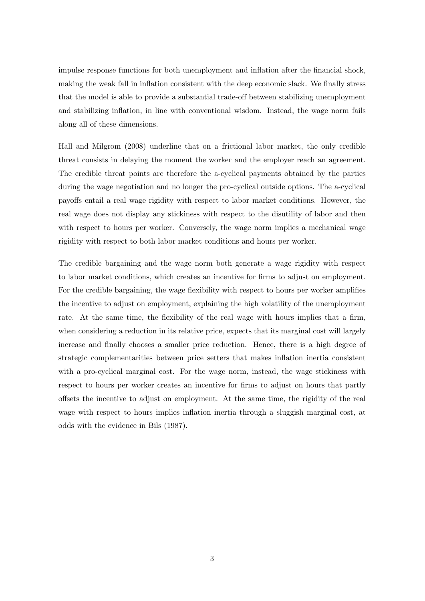impulse response functions for both unemployment and inflation after the financial shock, making the weak fall in inflation consistent with the deep economic slack. We finally stress that the model is able to provide a substantial trade-off between stabilizing unemployment and stabilizing inflation, in line with conventional wisdom. Instead, the wage norm fails along all of these dimensions.

Hall and Milgrom (2008) underline that on a frictional labor market, the only credible threat consists in delaying the moment the worker and the employer reach an agreement. The credible threat points are therefore the a-cyclical payments obtained by the parties during the wage negotiation and no longer the pro-cyclical outside options. The a-cyclical payoffs entail a real wage rigidity with respect to labor market conditions. However, the real wage does not display any stickiness with respect to the disutility of labor and then with respect to hours per worker. Conversely, the wage norm implies a mechanical wage rigidity with respect to both labor market conditions and hours per worker.

The credible bargaining and the wage norm both generate a wage rigidity with respect to labor market conditions, which creates an incentive for firms to adjust on employment. For the credible bargaining, the wage flexibility with respect to hours per worker amplifies the incentive to adjust on employment, explaining the high volatility of the unemployment rate. At the same time, the flexibility of the real wage with hours implies that a firm, when considering a reduction in its relative price, expects that its marginal cost will largely increase and finally chooses a smaller price reduction. Hence, there is a high degree of strategic complementarities between price setters that makes inflation inertia consistent with a pro-cyclical marginal cost. For the wage norm, instead, the wage stickiness with respect to hours per worker creates an incentive for firms to adjust on hours that partly offsets the incentive to adjust on employment. At the same time, the rigidity of the real wage with respect to hours implies inflation inertia through a sluggish marginal cost, at odds with the evidence in Bils (1987).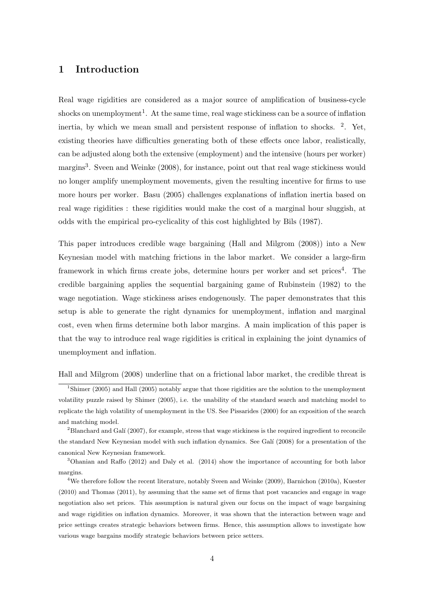## 1 Introduction

Real wage rigidities are considered as a major source of amplification of business-cycle shocks on unemployment<sup>1</sup>. At the same time, real wage stickiness can be a source of inflation inertia, by which we mean small and persistent response of inflation to shocks. <sup>2</sup>. Yet, existing theories have difficulties generating both of these effects once labor, realistically, can be adjusted along both the extensive (employment) and the intensive (hours per worker) margins<sup>3</sup>. Sveen and Weinke (2008), for instance, point out that real wage stickiness would no longer amplify unemployment movements, given the resulting incentive for firms to use more hours per worker. Basu (2005) challenges explanations of inflation inertia based on real wage rigidities : these rigidities would make the cost of a marginal hour sluggish, at odds with the empirical pro-cyclicality of this cost highlighted by Bils (1987).

This paper introduces credible wage bargaining (Hall and Milgrom (2008)) into a New Keynesian model with matching frictions in the labor market. We consider a large-firm framework in which firms create jobs, determine hours per worker and set prices<sup>4</sup>. The credible bargaining applies the sequential bargaining game of Rubinstein (1982) to the wage negotiation. Wage stickiness arises endogenously. The paper demonstrates that this setup is able to generate the right dynamics for unemployment, inflation and marginal cost, even when firms determine both labor margins. A main implication of this paper is that the way to introduce real wage rigidities is critical in explaining the joint dynamics of unemployment and inflation.

Hall and Milgrom (2008) underline that on a frictional labor market, the credible threat is

<sup>2</sup>Blanchard and Gali (2007), for example, stress that wage stickiness is the required ingredient to reconcile the standard New Keynesian model with such inflation dynamics. See Galí (2008) for a presentation of the canonical New Keynesian framework.

<sup>3</sup>Ohanian and Raffo (2012) and Daly et al. (2014) show the importance of accounting for both labor margins.

<sup>4</sup>We therefore follow the recent literature, notably Sveen and Weinke (2009), Barnichon (2010a), Kuester (2010) and Thomas (2011), by assuming that the same set of firms that post vacancies and engage in wage negotiation also set prices. This assumption is natural given our focus on the impact of wage bargaining and wage rigidities on inflation dynamics. Moreover, it was shown that the interaction between wage and price settings creates strategic behaviors between firms. Hence, this assumption allows to investigate how various wage bargains modify strategic behaviors between price setters.

<sup>1</sup>Shimer (2005) and Hall (2005) notably argue that those rigidities are the solution to the unemployment volatility puzzle raised by Shimer (2005), i.e. the unability of the standard search and matching model to replicate the high volatility of unemployment in the US. See Pissarides (2000) for an exposition of the search and matching model.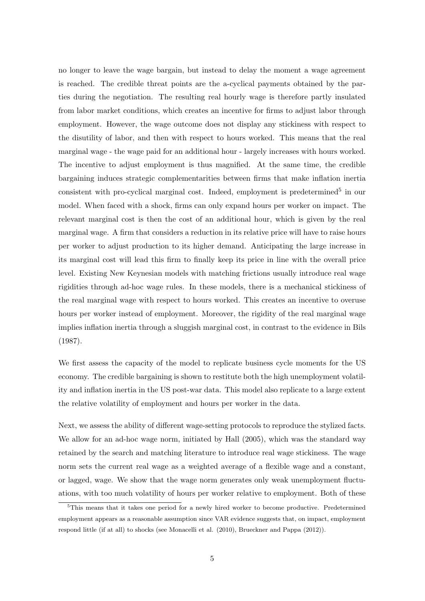no longer to leave the wage bargain, but instead to delay the moment a wage agreement is reached. The credible threat points are the a-cyclical payments obtained by the parties during the negotiation. The resulting real hourly wage is therefore partly insulated from labor market conditions, which creates an incentive for firms to adjust labor through employment. However, the wage outcome does not display any stickiness with respect to the disutility of labor, and then with respect to hours worked. This means that the real marginal wage - the wage paid for an additional hour - largely increases with hours worked. The incentive to adjust employment is thus magnified. At the same time, the credible bargaining induces strategic complementarities between firms that make inflation inertia consistent with pro-cyclical marginal cost. Indeed, employment is predetermined<sup>5</sup> in our model. When faced with a shock, firms can only expand hours per worker on impact. The relevant marginal cost is then the cost of an additional hour, which is given by the real marginal wage. A firm that considers a reduction in its relative price will have to raise hours per worker to adjust production to its higher demand. Anticipating the large increase in its marginal cost will lead this firm to finally keep its price in line with the overall price level. Existing New Keynesian models with matching frictions usually introduce real wage rigidities through ad-hoc wage rules. In these models, there is a mechanical stickiness of the real marginal wage with respect to hours worked. This creates an incentive to overuse hours per worker instead of employment. Moreover, the rigidity of the real marginal wage implies inflation inertia through a sluggish marginal cost, in contrast to the evidence in Bils (1987).

We first assess the capacity of the model to replicate business cycle moments for the US economy. The credible bargaining is shown to restitute both the high unemployment volatility and inflation inertia in the US post-war data. This model also replicate to a large extent the relative volatility of employment and hours per worker in the data.

Next, we assess the ability of different wage-setting protocols to reproduce the stylized facts. We allow for an ad-hoc wage norm, initiated by Hall (2005), which was the standard way retained by the search and matching literature to introduce real wage stickiness. The wage norm sets the current real wage as a weighted average of a flexible wage and a constant, or lagged, wage. We show that the wage norm generates only weak unemployment fluctuations, with too much volatility of hours per worker relative to employment. Both of these

<sup>&</sup>lt;sup>5</sup>This means that it takes one period for a newly hired worker to become productive. Predetermined employment appears as a reasonable assumption since VAR evidence suggests that, on impact, employment respond little (if at all) to shocks (see Monacelli et al. (2010), Brueckner and Pappa (2012)).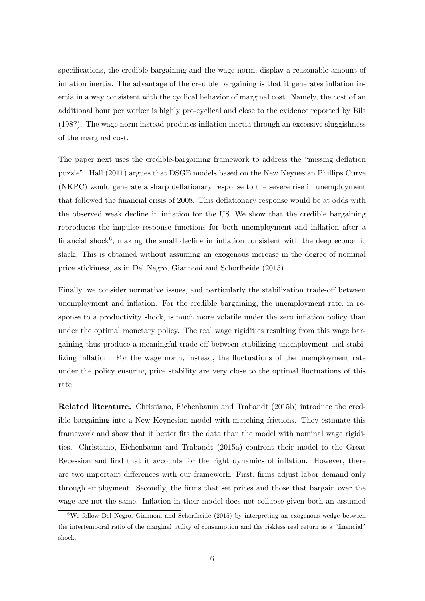specifications, the credible bargaining and the wage norm, display a reasonable amount of inflation inertia. The advantage of the credible bargaining is that it generates inflation inertia in a way consistent with the cyclical behavior of marginal cost. Namely, the cost of an additional hour per worker is highly pro-cyclical and close to the evidence reported by Bils (1987). The wage norm instead produces inflation inertia through an excessive sluggishness of the marginal cost.

The paper next uses the credible-bargaining framework to address the "missing deflation puzzle". Hall (2011) argues that DSGE models based on the New Keynesian Phillips Curve (NKPC) would generate a sharp deflationary response to the severe rise in unemployment that followed the financial crisis of 2008. This deflationary response would be at odds with the observed weak decline in inflation for the US. We show that the credible bargaining reproduces the impulse response functions for both unemployment and inflation after a financial shock<sup>6</sup>, making the small decline in inflation consistent with the deep economic slack. This is obtained without assuming an exogenous increase in the degree of nominal price stickiness, as in Del Negro, Giannoni and Schorfheide (2015).

Finally, we consider normative issues, and particularly the stabilization trade-off between unemployment and inflation. For the credible bargaining, the unemployment rate, in response to a productivity shock, is much more volatile under the zero inflation policy than under the optimal monetary policy. The real wage rigidities resulting from this wage bargaining thus produce a meaningful trade-off between stabilizing unemployment and stabilizing inflation. For the wage norm, instead, the fluctuations of the unemployment rate under the policy ensuring price stability are very close to the optimal fluctuations of this rate.

Related literature. Christiano, Eichenbaum and Trabandt (2015b) introduce the credible bargaining into a New Keynesian model with matching frictions. They estimate this framework and show that it better fits the data than the model with nominal wage rigidities. Christiano, Eichenbaum and Trabandt (2015a) confront their model to the Great Recession and find that it accounts for the right dynamics of inflation. However, there are two important differences with our framework. First, firms adjust labor demand only through employment. Secondly, the firms that set prices and those that bargain over the wage are not the same. Inflation in their model does not collapse given both an assumed

 $6$ We follow Del Negro, Giannoni and Schorfheide (2015) by interpreting an exogenous wedge between the intertemporal ratio of the marginal utility of consumption and the riskless real return as a "financial" shock.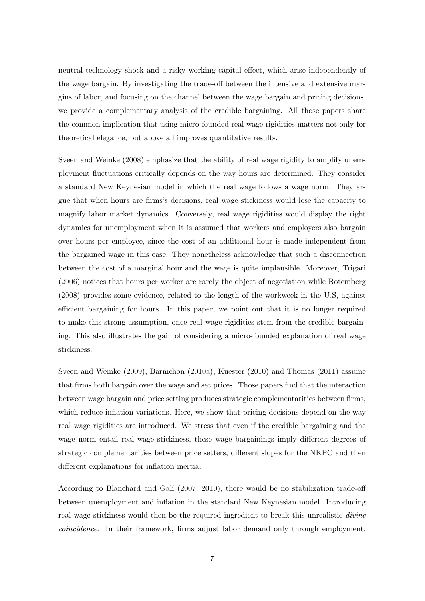neutral technology shock and a risky working capital effect, which arise independently of the wage bargain. By investigating the trade-off between the intensive and extensive margins of labor, and focusing on the channel between the wage bargain and pricing decisions, we provide a complementary analysis of the credible bargaining. All those papers share the common implication that using micro-founded real wage rigidities matters not only for theoretical elegance, but above all improves quantitative results.

Sveen and Weinke (2008) emphasize that the ability of real wage rigidity to amplify unemployment fluctuations critically depends on the way hours are determined. They consider a standard New Keynesian model in which the real wage follows a wage norm. They argue that when hours are firms's decisions, real wage stickiness would lose the capacity to magnify labor market dynamics. Conversely, real wage rigidities would display the right dynamics for unemployment when it is assumed that workers and employers also bargain over hours per employee, since the cost of an additional hour is made independent from the bargained wage in this case. They nonetheless acknowledge that such a disconnection between the cost of a marginal hour and the wage is quite implausible. Moreover, Trigari (2006) notices that hours per worker are rarely the object of negotiation while Rotemberg (2008) provides some evidence, related to the length of the workweek in the U.S, against efficient bargaining for hours. In this paper, we point out that it is no longer required to make this strong assumption, once real wage rigidities stem from the credible bargaining. This also illustrates the gain of considering a micro-founded explanation of real wage stickiness.

Sveen and Weinke (2009), Barnichon (2010a), Kuester (2010) and Thomas (2011) assume that firms both bargain over the wage and set prices. Those papers find that the interaction between wage bargain and price setting produces strategic complementarities between firms, which reduce inflation variations. Here, we show that pricing decisions depend on the way real wage rigidities are introduced. We stress that even if the credible bargaining and the wage norm entail real wage stickiness, these wage bargainings imply different degrees of strategic complementarities between price setters, different slopes for the NKPC and then different explanations for inflation inertia.

According to Blanchard and Galí (2007, 2010), there would be no stabilization trade-off between unemployment and inflation in the standard New Keynesian model. Introducing real wage stickiness would then be the required ingredient to break this unrealistic divine coincidence. In their framework, firms adjust labor demand only through employment.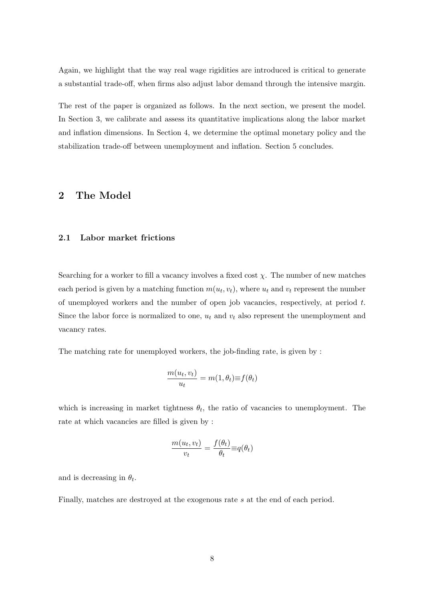Again, we highlight that the way real wage rigidities are introduced is critical to generate a substantial trade-off, when firms also adjust labor demand through the intensive margin.

The rest of the paper is organized as follows. In the next section, we present the model. In Section 3, we calibrate and assess its quantitative implications along the labor market and inflation dimensions. In Section 4, we determine the optimal monetary policy and the stabilization trade-off between unemployment and inflation. Section 5 concludes.

### 2 The Model

#### 2.1 Labor market frictions

Searching for a worker to fill a vacancy involves a fixed cost  $\chi$ . The number of new matches each period is given by a matching function  $m(u_t, v_t)$ , where  $u_t$  and  $v_t$  represent the number of unemployed workers and the number of open job vacancies, respectively, at period t. Since the labor force is normalized to one,  $u_t$  and  $v_t$  also represent the unemployment and vacancy rates.

The matching rate for unemployed workers, the job-finding rate, is given by :

$$
\frac{m(u_t, v_t)}{u_t} = m(1, \theta_t) \equiv f(\theta_t)
$$

which is increasing in market tightness  $\theta_t$ , the ratio of vacancies to unemployment. The rate at which vacancies are filled is given by :

$$
\frac{m(u_t, v_t)}{v_t} = \frac{f(\theta_t)}{\theta_t} \equiv q(\theta_t)
$$

and is decreasing in  $\theta_t$ .

Finally, matches are destroyed at the exogenous rate s at the end of each period.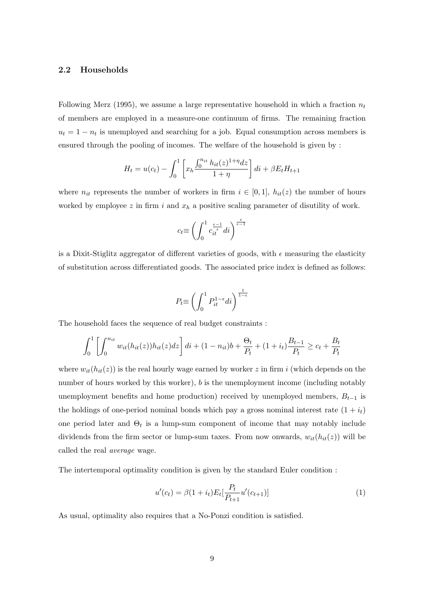#### 2.2 Households

Following Merz (1995), we assume a large representative household in which a fraction  $n_t$ of members are employed in a measure-one continuum of firms. The remaining fraction  $u_t = 1 - n_t$  is unemployed and searching for a job. Equal consumption across members is ensured through the pooling of incomes. The welfare of the household is given by :

$$
H_t = u(c_t) - \int_0^1 \left[ x_h \frac{\int_0^{n_{it}} h_{it}(z)^{1+\eta} dz}{1+\eta} \right] dt + \beta E_t H_{t+1}
$$

where  $n_{it}$  represents the number of workers in firm  $i \in [0,1]$ ,  $h_{it}(z)$  the number of hours worked by employee z in firm i and  $x_h$  a positive scaling parameter of disutility of work.

$$
c_t\!\!\equiv\!\left(\int_0^1 c_{it}^{\frac{\epsilon-1}{\epsilon}}di\right)^{\frac{\epsilon}{\epsilon-1}}
$$

is a Dixit-Stiglitz aggregator of different varieties of goods, with  $\epsilon$  measuring the elasticity of substitution across differentiated goods. The associated price index is defined as follows:

$$
P_t {\equiv} \left( \int_0^1 P^{1-\epsilon}_{it} dt \right)^{\frac{1}{1-\epsilon}}
$$

The household faces the sequence of real budget constraints :

$$
\int_0^1 \left[ \int_0^{n_{it}} w_{it}(h_{it}(z)) h_{it}(z) dz \right] dt + (1 - n_{it}) b + \frac{\Theta_t}{P_t} + (1 + i_t) \frac{B_{t-1}}{P_t} \ge c_t + \frac{B_t}{P_t}
$$

where  $w_{it}(h_{it}(z))$  is the real hourly wage earned by worker z in firm i (which depends on the number of hours worked by this worker), b is the unemployment income (including notably unemployment benefits and home production) received by unemployed members,  $B_{t-1}$  is the holdings of one-period nominal bonds which pay a gross nominal interest rate  $(1 + i_t)$ one period later and  $\Theta_t$  is a lump-sum component of income that may notably include dividends from the firm sector or lump-sum taxes. From now onwards,  $w_{it}(h_{it}(z))$  will be called the real average wage.

The intertemporal optimality condition is given by the standard Euler condition :

$$
u'(c_t) = \beta(1+i_t)E_t[\frac{P_t}{P_{t+1}}u'(c_{t+1})]
$$
\n(1)

As usual, optimality also requires that a No-Ponzi condition is satisfied.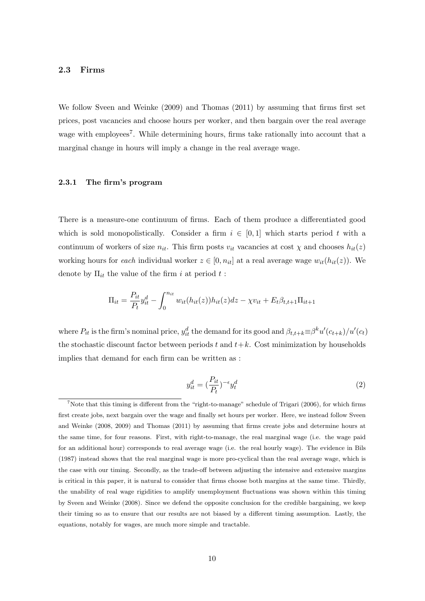#### 2.3 Firms

We follow Sveen and Weinke (2009) and Thomas (2011) by assuming that firms first set prices, post vacancies and choose hours per worker, and then bargain over the real average wage with employees<sup>7</sup>. While determining hours, firms take rationally into account that a marginal change in hours will imply a change in the real average wage.

#### 2.3.1 The firm's program

There is a measure-one continuum of firms. Each of them produce a differentiated good which is sold monopolistically. Consider a firm  $i \in [0,1]$  which starts period t with a continuum of workers of size  $n_{it}$ . This firm posts  $v_{it}$  vacancies at cost  $\chi$  and chooses  $h_{it}(z)$ working hours for each individual worker  $z \in [0, n_{it}]$  at a real average wage  $w_{it}(h_{it}(z))$ . We denote by  $\Pi_{it}$  the value of the firm i at period t:

$$
\Pi_{it} = \frac{P_{it}}{P_t} y_{it}^d - \int_0^{n_{it}} w_{it}(h_{it}(z))h_{it}(z)dz - \chi v_{it} + E_t \beta_{t,t+1} \Pi_{it+1}
$$

where  $P_{it}$  is the firm's nominal price,  $y_{it}^d$  the demand for its good and  $\beta_{t,t+k} \equiv \beta^k u'(c_{t+k})/u'(c_t)$ the stochastic discount factor between periods t and  $t+k$ . Cost minimization by households implies that demand for each firm can be written as :

$$
y_{it}^d = \left(\frac{P_{it}}{P_t}\right)^{-\epsilon} y_t^d \tag{2}
$$

<sup>&</sup>lt;sup>7</sup>Note that this timing is different from the "right-to-manage" schedule of Trigari (2006), for which firms first create jobs, next bargain over the wage and finally set hours per worker. Here, we instead follow Sveen and Weinke (2008, 2009) and Thomas (2011) by assuming that firms create jobs and determine hours at the same time, for four reasons. First, with right-to-manage, the real marginal wage (i.e. the wage paid for an additional hour) corresponds to real average wage (i.e. the real hourly wage). The evidence in Bils (1987) instead shows that the real marginal wage is more pro-cyclical than the real average wage, which is the case with our timing. Secondly, as the trade-off between adjusting the intensive and extensive margins is critical in this paper, it is natural to consider that firms choose both margins at the same time. Thirdly, the unability of real wage rigidities to amplify unemployment fluctuations was shown within this timing by Sveen and Weinke (2008). Since we defend the opposite conclusion for the credible bargaining, we keep their timing so as to ensure that our results are not biased by a different timing assumption. Lastly, the equations, notably for wages, are much more simple and tractable.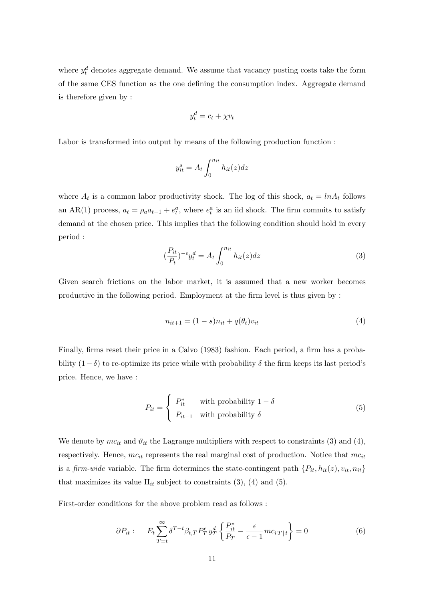where  $y_t^d$  denotes aggregate demand. We assume that vacancy posting costs take the form of the same CES function as the one defining the consumption index. Aggregate demand is therefore given by :

$$
y_t^d = c_t + \chi v_t
$$

Labor is transformed into output by means of the following production function :

$$
y_{it}^s = A_t \int_0^{n_{it}} h_{it}(z) dz
$$

where  $A_t$  is a common labor productivity shock. The log of this shock,  $a_t = ln A_t$  follows an AR(1) process,  $a_t = \rho_a a_{t-1} + e_t^a$ , where  $e_t^a$  is an iid shock. The firm commits to satisfy demand at the chosen price. This implies that the following condition should hold in every period :

$$
\left(\frac{P_{it}}{P_t}\right)^{-\epsilon} y_t^d = A_t \int_0^{n_{it}} h_{it}(z) dz \tag{3}
$$

Given search frictions on the labor market, it is assumed that a new worker becomes productive in the following period. Employment at the firm level is thus given by :

$$
n_{it+1} = (1 - s)n_{it} + q(\theta_t)v_{it}
$$
\n(4)

Finally, firms reset their price in a Calvo (1983) fashion. Each period, a firm has a probability  $(1-\delta)$  to re-optimize its price while with probability  $\delta$  the firm keeps its last period's price. Hence, we have :

$$
P_{it} = \begin{cases} P_{it}^{*} & \text{with probability } 1 - \delta \\ P_{it-1} & \text{with probability } \delta \end{cases}
$$
 (5)

We denote by  $mc_{it}$  and  $\vartheta_{it}$  the Lagrange multipliers with respect to constraints (3) and (4), respectively. Hence,  $mc_{it}$  represents the real marginal cost of production. Notice that  $mc_{it}$ is a firm-wide variable. The firm determines the state-contingent path  $\{P_{it}, h_{it}(z), v_{it}, n_{it}\}$ that maximizes its value  $\Pi_{it}$  subject to constraints (3), (4) and (5).

First-order conditions for the above problem read as follows :

$$
\partial P_{it}: \qquad E_t \sum_{T=t}^{\infty} \delta^{T-t} \beta_{t,T} P_T^{\epsilon} y_T^d \left\{ \frac{P_{it}^*}{P_T} - \frac{\epsilon}{\epsilon - 1} m c_{i} T | t \right\} = 0 \tag{6}
$$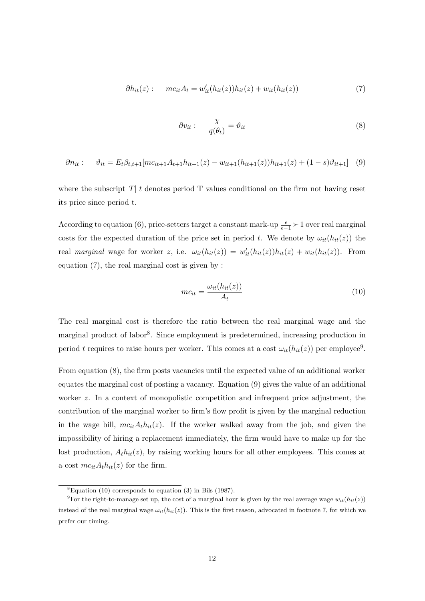$$
\partial h_{it}(z): \qquad mc_{it}A_t = w'_{it}(h_{it}(z))h_{it}(z) + w_{it}(h_{it}(z)) \tag{7}
$$

$$
\partial v_{it}: \quad \frac{\chi}{q(\theta_t)} = \vartheta_{it} \tag{8}
$$

$$
\partial n_{it}: \quad \vartheta_{it} = E_t \beta_{t,t+1} [mc_{it+1} A_{t+1} h_{it+1}(z) - w_{it+1}(h_{it+1}(z)) h_{it+1}(z) + (1-s) \vartheta_{it+1}] \tag{9}
$$

where the subscript  $T | t$  denotes period T values conditional on the firm not having reset its price since period t.

According to equation (6), price-setters target a constant mark-up  $\frac{\epsilon}{\epsilon-1}$  > 1 over real marginal costs for the expected duration of the price set in period t. We denote by  $\omega_{it}(h_{it}(z))$  the real marginal wage for worker z, i.e.  $\omega_{it}(h_{it}(z)) = w'_{it}(h_{it}(z))h_{it}(z) + w_{it}(h_{it}(z))$ . From equation (7), the real marginal cost is given by :

$$
mc_{it} = \frac{\omega_{it}(h_{it}(z))}{A_t} \tag{10}
$$

The real marginal cost is therefore the ratio between the real marginal wage and the marginal product of labor<sup>8</sup>. Since employment is predetermined, increasing production in period t requires to raise hours per worker. This comes at a cost  $\omega_{it}(h_{it}(z))$  per employee<sup>9</sup>.

From equation (8), the firm posts vacancies until the expected value of an additional worker equates the marginal cost of posting a vacancy. Equation (9) gives the value of an additional worker z. In a context of monopolistic competition and infrequent price adjustment, the contribution of the marginal worker to firm's flow profit is given by the marginal reduction in the wage bill,  $mc_{it}A_t h_{it}(z)$ . If the worker walked away from the job, and given the impossibility of hiring a replacement immediately, the firm would have to make up for the lost production,  $A_t h_{it}(z)$ , by raising working hours for all other employees. This comes at a cost  $mc_{it}A_th_{it}(z)$  for the firm.

 ${}^{8}$ Equation (10) corresponds to equation (3) in Bils (1987).

<sup>&</sup>lt;sup>9</sup>For the right-to-manage set up, the cost of a marginal hour is given by the real average wage  $w_{it}(h_{it}(z))$ instead of the real marginal wage  $\omega_{it}(h_{it}(z))$ . This is the first reason, advocated in footnote 7, for which we prefer our timing.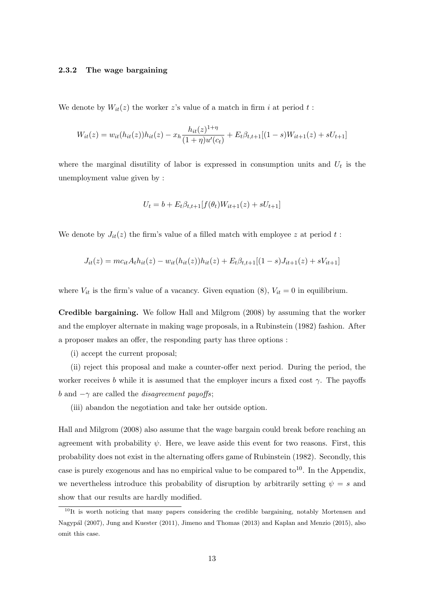#### 2.3.2 The wage bargaining

We denote by  $W_{it}(z)$  the worker z's value of a match in firm i at period t:

$$
W_{it}(z) = w_{it}(h_{it}(z))h_{it}(z) - x_h \frac{h_{it}(z)^{1+\eta}}{(1+\eta)u'(c_t)} + E_t \beta_{t,t+1}[(1-s)W_{it+1}(z) + sU_{t+1}]
$$

where the marginal disutility of labor is expressed in consumption units and  $U_t$  is the unemployment value given by :

$$
U_t = b + E_t \beta_{t,t+1} [f(\theta_t) W_{it+1}(z) + s U_{t+1}]
$$

We denote by  $J_{it}(z)$  the firm's value of a filled match with employee z at period t:

$$
J_{it}(z) = mc_{it}A_t h_{it}(z) - w_{it}(h_{it}(z))h_{it}(z) + E_t \beta_{t,t+1}[(1-s)J_{it+1}(z) + sV_{it+1}]
$$

where  $V_{it}$  is the firm's value of a vacancy. Given equation (8),  $V_{it} = 0$  in equilibrium.

Credible bargaining. We follow Hall and Milgrom (2008) by assuming that the worker and the employer alternate in making wage proposals, in a Rubinstein (1982) fashion. After a proposer makes an offer, the responding party has three options :

(i) accept the current proposal;

(ii) reject this proposal and make a counter-offer next period. During the period, the worker receives b while it is assumed that the employer incurs a fixed cost  $\gamma$ . The payoffs b and  $-\gamma$  are called the *disagreement payoffs*;

(iii) abandon the negotiation and take her outside option.

Hall and Milgrom (2008) also assume that the wage bargain could break before reaching an agreement with probability  $\psi$ . Here, we leave aside this event for two reasons. First, this probability does not exist in the alternating offers game of Rubinstein (1982). Secondly, this case is purely exogenous and has no empirical value to be compared to<sup>10</sup>. In the Appendix, we nevertheless introduce this probability of disruption by arbitrarily setting  $\psi = s$  and show that our results are hardly modified.

 $10$ It is worth noticing that many papers considering the credible bargaining, notably Mortensen and Nagypál (2007), Jung and Kuester (2011), Jimeno and Thomas (2013) and Kaplan and Menzio (2015), also omit this case.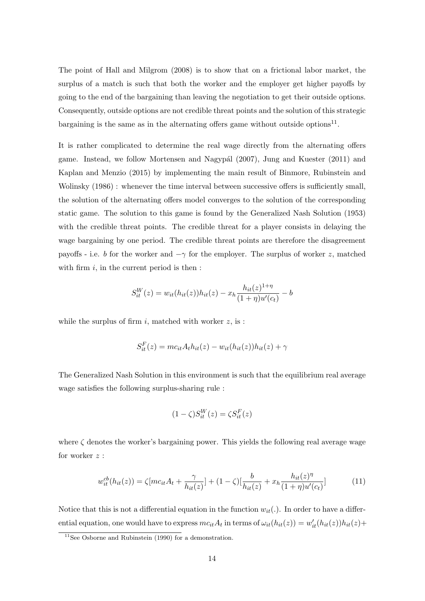The point of Hall and Milgrom (2008) is to show that on a frictional labor market, the surplus of a match is such that both the worker and the employer get higher payoffs by going to the end of the bargaining than leaving the negotiation to get their outside options. Consequently, outside options are not credible threat points and the solution of this strategic bargaining is the same as in the alternating offers game without outside options<sup>11</sup>.

It is rather complicated to determine the real wage directly from the alternating offers game. Instead, we follow Mortensen and Nagypál (2007), Jung and Kuester (2011) and Kaplan and Menzio (2015) by implementing the main result of Binmore, Rubinstein and Wolinsky (1986) : whenever the time interval between successive offers is sufficiently small, the solution of the alternating offers model converges to the solution of the corresponding static game. The solution to this game is found by the Generalized Nash Solution (1953) with the credible threat points. The credible threat for a player consists in delaying the wage bargaining by one period. The credible threat points are therefore the disagreement payoffs - i.e. b for the worker and  $-\gamma$  for the employer. The surplus of worker z, matched with firm  $i$ , in the current period is then :

$$
S_{it}^{W}(z) = w_{it}(h_{it}(z))h_{it}(z) - x_h \frac{h_{it}(z)^{1+\eta}}{(1+\eta)u'(c_t)} - b
$$

while the surplus of firm  $i$ , matched with worker  $z$ , is :

$$
S_{it}^{F}(z) = mc_{it}A_t h_{it}(z) - w_{it}(h_{it}(z))h_{it}(z) + \gamma
$$

The Generalized Nash Solution in this environment is such that the equilibrium real average wage satisfies the following surplus-sharing rule :

$$
(1 - \zeta)S_{it}^W(z) = \zeta S_{it}^F(z)
$$

where  $\zeta$  denotes the worker's bargaining power. This yields the following real average wage for worker  $z$  :

$$
w_{it}^{cb}(h_{it}(z)) = \zeta[mc_{it}A_t + \frac{\gamma}{h_{it}(z)}] + (1 - \zeta)[\frac{b}{h_{it}(z)} + x_h \frac{h_{it}(z)^{\eta}}{(1 + \eta)u'(c_t)}]
$$
(11)

Notice that this is not a differential equation in the function  $w_{it}$ . In order to have a differential equation, one would have to express  $mc_{it}A_t$  in terms of  $\omega_{it}(h_{it}(z)) = w'_{it}(h_{it}(z))h_{it}(z) +$ 

 $11$ See Osborne and Rubinstein (1990) for a demonstration.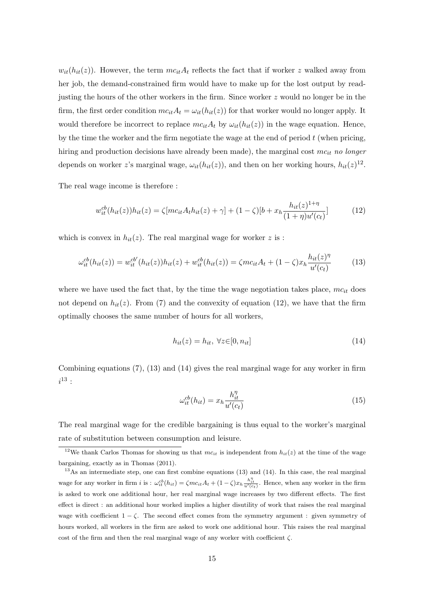$w_{it}(h_{it}(z))$ . However, the term  $mc_{it}A_t$  reflects the fact that if worker z walked away from her job, the demand-constrained firm would have to make up for the lost output by readjusting the hours of the other workers in the firm. Since worker z would no longer be in the firm, the first order condition  $mc_{it}A_t = \omega_{it}(h_{it}(z))$  for that worker would no longer apply. It would therefore be incorrect to replace  $mc_{it}A_t$  by  $\omega_{it}(h_{it}(z))$  in the wage equation. Hence, by the time the worker and the firm negotiate the wage at the end of period  $t$  (when pricing, hiring and production decisions have already been made), the marginal cost  $mc<sub>it</sub>$  no longer depends on worker z's marginal wage,  $\omega_{it}(h_{it}(z))$ , and then on her working hours,  $h_{it}(z)^{12}$ .

The real wage income is therefore :

$$
w_{it}^{cb}(h_{it}(z))h_{it}(z) = \zeta[mc_{it}A_t h_{it}(z) + \gamma] + (1 - \zeta)[b + x_h \frac{h_{it}(z)^{1+\eta}}{(1+\eta)u'(c_t)}]
$$
(12)

which is convex in  $h_{it}(z)$ . The real marginal wage for worker z is :

$$
\omega_{it}^{cb}(h_{it}(z)) = w_{it}^{cb'}(h_{it}(z))h_{it}(z) + w_{it}^{cb}(h_{it}(z)) = \zeta mc_{it}A_t + (1 - \zeta)x_h \frac{h_{it}(z)^{\eta}}{u'(c_t)}
$$
(13)

where we have used the fact that, by the time the wage negotiation takes place,  $mc_{it}$  does not depend on  $h_{it}(z)$ . From (7) and the convexity of equation (12), we have that the firm optimally chooses the same number of hours for all workers,

$$
h_{it}(z) = h_{it}, \ \forall z \in [0, n_{it}] \tag{14}
$$

Combining equations  $(7)$ ,  $(13)$  and  $(14)$  gives the real marginal wage for any worker in firm  $i^{13}:$ 

$$
\omega_{it}^{cb}(h_{it}) = x_h \frac{h_{it}^{\eta}}{u'(c_t)}\tag{15}
$$

The real marginal wage for the credible bargaining is thus equal to the worker's marginal rate of substitution between consumption and leisure.

<sup>&</sup>lt;sup>12</sup>We thank Carlos Thomas for showing us that  $mc_{it}$  is independent from  $h_{it}(z)$  at the time of the wage bargaining, exactly as in Thomas (2011).

 $13\text{As}$  an intermediate step, one can first combine equations (13) and (14). In this case, the real marginal wage for any worker in firm i is :  $\omega_{it}^{cb}(h_{it}) = \zeta m c_{it} A_t + (1-\zeta)x_h \frac{h_{it}^{\eta}}{u'(c_t)}$ . Hence, when any worker in the firm is asked to work one additional hour, her real marginal wage increases by two different effects. The first effect is direct : an additional hour worked implies a higher disutility of work that raises the real marginal wage with coefficient  $1 - \zeta$ . The second effect comes from the symmetry argument : given symmetry of hours worked, all workers in the firm are asked to work one additional hour. This raises the real marginal cost of the firm and then the real marginal wage of any worker with coefficient  $\zeta$ .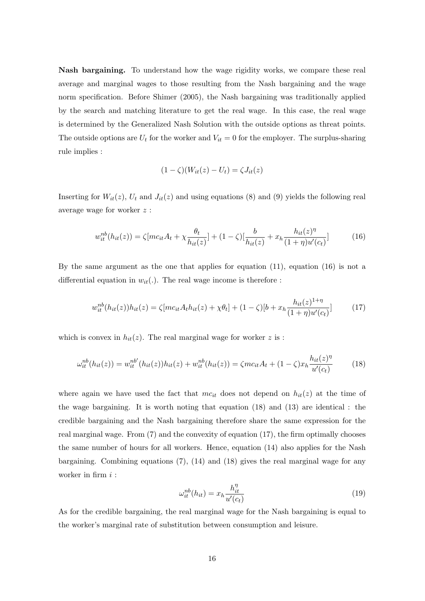Nash bargaining. To understand how the wage rigidity works, we compare these real average and marginal wages to those resulting from the Nash bargaining and the wage norm specification. Before Shimer (2005), the Nash bargaining was traditionally applied by the search and matching literature to get the real wage. In this case, the real wage is determined by the Generalized Nash Solution with the outside options as threat points. The outside options are  $U_t$  for the worker and  $V_{it} = 0$  for the employer. The surplus-sharing rule implies :

$$
(1 - \zeta)(W_{it}(z) - U_t) = \zeta J_{it}(z)
$$

Inserting for  $W_{it}(z)$ ,  $U_t$  and  $J_{it}(z)$  and using equations (8) and (9) yields the following real average wage for worker z :

$$
w_{it}^{nb}(h_{it}(z)) = \zeta[mc_{it}A_t + \chi \frac{\theta_t}{h_{it}(z)}] + (1 - \zeta)\left[\frac{b}{h_{it}(z)} + x_h \frac{h_{it}(z)^{\eta}}{(1 + \eta)u'(c_t)}\right]
$$
(16)

By the same argument as the one that applies for equation (11), equation (16) is not a differential equation in  $w_{it}(.)$ . The real wage income is therefore :

$$
w_{it}^{nb}(h_{it}(z))h_{it}(z) = \zeta[mc_{it}A_th_{it}(z) + \chi\theta_t] + (1-\zeta)[b + x_h\frac{h_{it}(z)^{1+\eta}}{(1+\eta)u'(c_t)}]
$$
(17)

which is convex in  $h_{it}(z)$ . The real marginal wage for worker z is :

$$
\omega_{it}^{nb}(h_{it}(z)) = w_{it}^{nb'}(h_{it}(z))h_{it}(z) + w_{it}^{nb}(h_{it}(z)) = \zeta mc_{it}A_t + (1 - \zeta)x_h \frac{h_{it}(z)^{\eta}}{u'(c_t)}
$$
(18)

where again we have used the fact that  $mc_{it}$  does not depend on  $h_{it}(z)$  at the time of the wage bargaining. It is worth noting that equation (18) and (13) are identical : the credible bargaining and the Nash bargaining therefore share the same expression for the real marginal wage. From (7) and the convexity of equation (17), the firm optimally chooses the same number of hours for all workers. Hence, equation (14) also applies for the Nash bargaining. Combining equations  $(7)$ ,  $(14)$  and  $(18)$  gives the real marginal wage for any worker in firm  $i$ :

$$
\omega_{it}^{nb}(h_{it}) = x_h \frac{h_{it}^{\eta}}{u'(c_t)}\tag{19}
$$

As for the credible bargaining, the real marginal wage for the Nash bargaining is equal to the worker's marginal rate of substitution between consumption and leisure.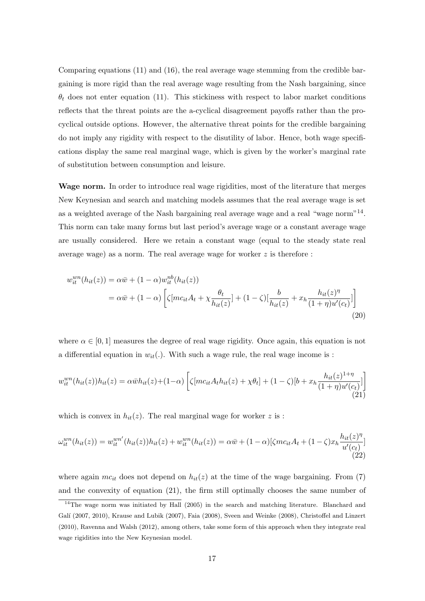Comparing equations (11) and (16), the real average wage stemming from the credible bargaining is more rigid than the real average wage resulting from the Nash bargaining, since  $\theta_t$  does not enter equation (11). This stickiness with respect to labor market conditions reflects that the threat points are the a-cyclical disagreement payoffs rather than the procyclical outside options. However, the alternative threat points for the credible bargaining do not imply any rigidity with respect to the disutility of labor. Hence, both wage specifications display the same real marginal wage, which is given by the worker's marginal rate of substitution between consumption and leisure.

Wage norm. In order to introduce real wage rigidities, most of the literature that merges New Keynesian and search and matching models assumes that the real average wage is set as a weighted average of the Nash bargaining real average wage and a real "wage norm"<sup>14</sup> . This norm can take many forms but last period's average wage or a constant average wage are usually considered. Here we retain a constant wage (equal to the steady state real average wage) as a norm. The real average wage for worker  $z$  is therefore :

$$
w_{it}^{wn}(h_{it}(z)) = \alpha \bar{w} + (1 - \alpha) w_{it}^{nb}(h_{it}(z))
$$
  
=  $\alpha \bar{w} + (1 - \alpha) \left[ \zeta[mc_{it}A_t + \chi \frac{\theta_t}{h_{it}(z)}] + (1 - \zeta) [\frac{b}{h_{it}(z)} + x_h \frac{h_{it}(z)^{\eta}}{(1 + \eta)u'(c_t)}] \right]$  (20)

where  $\alpha \in [0, 1]$  measures the degree of real wage rigidity. Once again, this equation is not a differential equation in  $w_{it}(.)$ . With such a wage rule, the real wage income is :

$$
w_{it}^{wn}(h_{it}(z))h_{it}(z) = \alpha \bar{w}h_{it}(z) + (1-\alpha) \left[ \zeta[mc_{it}A_t h_{it}(z) + \chi \theta_t] + (1-\zeta)[b + x_h \frac{h_{it}(z)^{1+\eta}}{(1+\eta)u'(c_t)}] \right]
$$
\n(21)

which is convex in  $h_{it}(z)$ . The real marginal wage for worker z is :

$$
\omega_{it}^{wn}(h_{it}(z)) = w_{it}^{wn'}(h_{it}(z))h_{it}(z) + w_{it}^{wn}(h_{it}(z)) = \alpha \bar{w} + (1 - \alpha)[\zeta mc_{it}A_t + (1 - \zeta)x_h \frac{h_{it}(z)^{\eta}}{u'(c_t)}]
$$
\n(22)

where again  $mc_{it}$  does not depend on  $h_{it}(z)$  at the time of the wage bargaining. From (7) and the convexity of equation (21), the firm still optimally chooses the same number of

<sup>&</sup>lt;sup>14</sup>The wage norm was initiated by Hall (2005) in the search and matching literature. Blanchard and Galí (2007, 2010), Krause and Lubik (2007), Faia (2008), Sveen and Weinke (2008), Christoffel and Linzert (2010), Ravenna and Walsh (2012), among others, take some form of this approach when they integrate real wage rigidities into the New Keynesian model.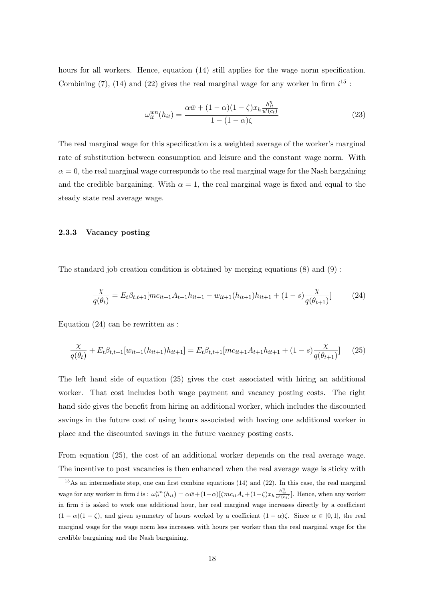hours for all workers. Hence, equation (14) still applies for the wage norm specification. Combining  $(7)$ ,  $(14)$  and  $(22)$  gives the real marginal wage for any worker in firm  $i^{15}$ :

$$
\omega_{it}^{wn}(h_{it}) = \frac{\alpha \bar{w} + (1 - \alpha)(1 - \zeta)x_h \frac{h_{it}^{\eta}}{w'(c_t)}}{1 - (1 - \alpha)\zeta}
$$
(23)

The real marginal wage for this specification is a weighted average of the worker's marginal rate of substitution between consumption and leisure and the constant wage norm. With  $\alpha = 0$ , the real marginal wage corresponds to the real marginal wage for the Nash bargaining and the credible bargaining. With  $\alpha = 1$ , the real marginal wage is fixed and equal to the steady state real average wage.

#### 2.3.3 Vacancy posting

The standard job creation condition is obtained by merging equations (8) and (9) :

$$
\frac{\chi}{q(\theta_t)} = E_t \beta_{t,t+1} [mc_{it+1}A_{t+1}h_{it+1} - w_{it+1}(h_{it+1})h_{it+1} + (1-s)\frac{\chi}{q(\theta_{t+1})}] \tag{24}
$$

Equation (24) can be rewritten as :

$$
\frac{\chi}{q(\theta_t)} + E_t \beta_{t,t+1} [w_{it+1}(h_{it+1})h_{it+1}] = E_t \beta_{t,t+1} [mc_{it+1}A_{t+1}h_{it+1} + (1-s)\frac{\chi}{q(\theta_{t+1})}] \tag{25}
$$

The left hand side of equation (25) gives the cost associated with hiring an additional worker. That cost includes both wage payment and vacancy posting costs. The right hand side gives the benefit from hiring an additional worker, which includes the discounted savings in the future cost of using hours associated with having one additional worker in place and the discounted savings in the future vacancy posting costs.

From equation (25), the cost of an additional worker depends on the real average wage. The incentive to post vacancies is then enhanced when the real average wage is sticky with

 $15$ As an intermediate step, one can first combine equations (14) and (22). In this case, the real marginal wage for any worker in firm i is :  $\omega_{it}^{wn}(h_{it}) = \alpha \bar{w} + (1-\alpha)[\zeta mc_{it}A_t + (1-\zeta)x_h\frac{h_{it}^{\eta}}{w'(c_t)}]$ . Hence, when any worker in firm  $i$  is asked to work one additional hour, her real marginal wage increases directly by a coefficient  $(1 - \alpha)(1 - \zeta)$ , and given symmetry of hours worked by a coefficient  $(1 - \alpha)\zeta$ . Since  $\alpha \in [0, 1]$ , the real marginal wage for the wage norm less increases with hours per worker than the real marginal wage for the credible bargaining and the Nash bargaining.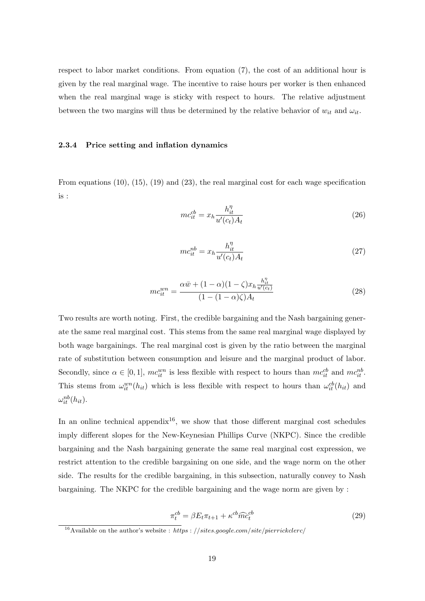respect to labor market conditions. From equation (7), the cost of an additional hour is given by the real marginal wage. The incentive to raise hours per worker is then enhanced when the real marginal wage is sticky with respect to hours. The relative adjustment between the two margins will thus be determined by the relative behavior of  $w_{it}$  and  $\omega_{it}$ .

#### 2.3.4 Price setting and inflation dynamics

From equations (10), (15), (19) and (23), the real marginal cost for each wage specification is :

$$
mc_{it}^{cb} = x_h \frac{h_{it}^{\eta}}{u'(c_t)A_t}
$$
\n
$$
(26)
$$

$$
mc_{it}^{nb} = x_h \frac{h_{it}^{\eta}}{u'(c_t)A_t}
$$
\n
$$
(27)
$$

$$
mc_{it}^{wn} = \frac{\alpha \bar{w} + (1 - \alpha)(1 - \zeta)x_h \frac{h_{it}^{\eta}}{u'(c_t)}}{(1 - (1 - \alpha)\zeta)A_t}
$$
(28)

Two results are worth noting. First, the credible bargaining and the Nash bargaining generate the same real marginal cost. This stems from the same real marginal wage displayed by both wage bargainings. The real marginal cost is given by the ratio between the marginal rate of substitution between consumption and leisure and the marginal product of labor. Secondly, since  $\alpha \in [0, 1]$ ,  $mc_{it}^{wn}$  is less flexible with respect to hours than  $mc_{it}^{cb}$  and  $mc_{it}^{nb}$ . This stems from  $\omega_{it}^{wn}(h_{it})$  which is less flexible with respect to hours than  $\omega_{it}^{cb}(h_{it})$  and  $\omega_{it}^{nb}(h_{it}).$ 

In an online technical appendix<sup>16</sup>, we show that those different marginal cost schedules imply different slopes for the New-Keynesian Phillips Curve (NKPC). Since the credible bargaining and the Nash bargaining generate the same real marginal cost expression, we restrict attention to the credible bargaining on one side, and the wage norm on the other side. The results for the credible bargaining, in this subsection, naturally convey to Nash bargaining. The NKPC for the credible bargaining and the wage norm are given by :

$$
\pi_t^{cb} = \beta E_t \pi_{t+1} + \kappa^{cb} \widehat{mc}_t^{cb}
$$
\n(29)

 $\frac{16}{16}$ Available on the author's website : https : //sites.google.com/site/pierrickclerc/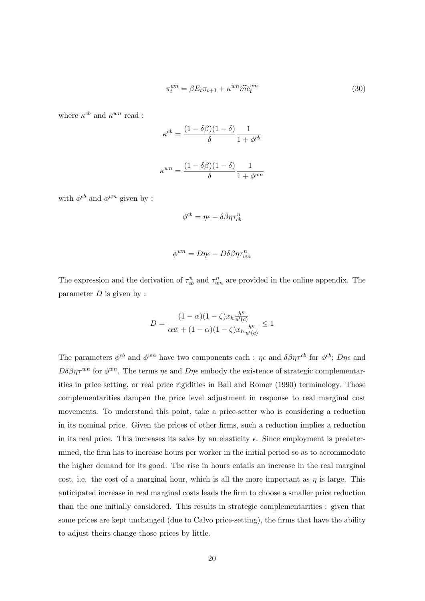$$
\pi_t^{wn} = \beta E_t \pi_{t+1} + \kappa^{wn} \widehat{mc}_t^{wn}
$$
\n(30)

where  $\kappa^{cb}$  and  $\kappa^{wn}$  read :

$$
\kappa^{cb} = \frac{(1 - \delta\beta)(1 - \delta)}{\delta} \frac{1}{1 + \phi^{cb}}
$$

$$
\kappa^{wn} = \frac{(1 - \delta\beta)(1 - \delta)}{\delta} \frac{1}{1 + \phi^{wn}}
$$

with  $\phi^{cb}$  and  $\phi^{wn}$  given by :

$$
\phi^{cb} = \eta \epsilon - \delta \beta \eta \tau_{cb}^n
$$

$$
\phi^{wn} = D\eta \epsilon - D\delta \beta \eta \tau_{wn}^n
$$

The expression and the derivation of  $\tau_{cb}^n$  and  $\tau_{wn}^n$  are provided in the online appendix. The parameter  $D$  is given by :

$$
D = \frac{(1 - \alpha)(1 - \zeta)x_h \frac{h^{\eta}}{u'(c)}}{\alpha \bar{w} + (1 - \alpha)(1 - \zeta)x_h \frac{h^{\eta}}{u'(c)}} \le 1
$$

The parameters  $\phi^{cb}$  and  $\phi^{wn}$  have two components each :  $\eta\epsilon$  and  $\delta\beta\eta\tau^{cb}$  for  $\phi^{cb}$ ;  $D\eta\epsilon$  and  $D\delta\beta\eta\tau^{wn}$  for  $\phi^{wn}$ . The terms  $\eta\epsilon$  and  $D\eta\epsilon$  embody the existence of strategic complementarities in price setting, or real price rigidities in Ball and Romer (1990) terminology. Those complementarities dampen the price level adjustment in response to real marginal cost movements. To understand this point, take a price-setter who is considering a reduction in its nominal price. Given the prices of other firms, such a reduction implies a reduction in its real price. This increases its sales by an elasticity  $\epsilon$ . Since employment is predetermined, the firm has to increase hours per worker in the initial period so as to accommodate the higher demand for its good. The rise in hours entails an increase in the real marginal cost, i.e. the cost of a marginal hour, which is all the more important as  $\eta$  is large. This anticipated increase in real marginal costs leads the firm to choose a smaller price reduction than the one initially considered. This results in strategic complementarities : given that some prices are kept unchanged (due to Calvo price-setting), the firms that have the ability to adjust theirs change those prices by little.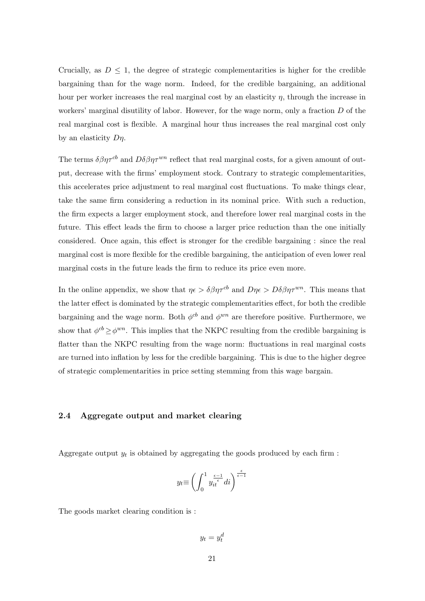Crucially, as  $D \leq 1$ , the degree of strategic complementarities is higher for the credible bargaining than for the wage norm. Indeed, for the credible bargaining, an additional hour per worker increases the real marginal cost by an elasticity  $\eta$ , through the increase in workers' marginal disutility of labor. However, for the wage norm, only a fraction  $D$  of the real marginal cost is flexible. A marginal hour thus increases the real marginal cost only by an elasticity  $D\eta$ .

The terms  $\delta\beta\eta\tau^{cb}$  and  $D\delta\beta\eta\tau^{wn}$  reflect that real marginal costs, for a given amount of output, decrease with the firms' employment stock. Contrary to strategic complementarities, this accelerates price adjustment to real marginal cost fluctuations. To make things clear, take the same firm considering a reduction in its nominal price. With such a reduction, the firm expects a larger employment stock, and therefore lower real marginal costs in the future. This effect leads the firm to choose a larger price reduction than the one initially considered. Once again, this effect is stronger for the credible bargaining : since the real marginal cost is more flexible for the credible bargaining, the anticipation of even lower real marginal costs in the future leads the firm to reduce its price even more.

In the online appendix, we show that  $\eta \epsilon > \delta \beta \eta \tau^{cb}$  and  $D \eta \epsilon > D \delta \beta \eta \tau^{wn}$ . This means that the latter effect is dominated by the strategic complementarities effect, for both the credible bargaining and the wage norm. Both  $\phi^{cb}$  and  $\phi^{wn}$  are therefore positive. Furthermore, we show that  $\phi^{cb} \geq \phi^{wn}$ . This implies that the NKPC resulting from the credible bargaining is flatter than the NKPC resulting from the wage norm: fluctuations in real marginal costs are turned into inflation by less for the credible bargaining. This is due to the higher degree of strategic complementarities in price setting stemming from this wage bargain.

#### 2.4 Aggregate output and market clearing

Aggregate output  $y_t$  is obtained by aggregating the goods produced by each firm :

$$
y_t \equiv \left(\int_0^1 y_{it}^{\frac{\epsilon - 1}{\epsilon}} dt\right)^{\frac{\epsilon}{\epsilon - 1}}
$$

The goods market clearing condition is :

 $y_t = y_t^d$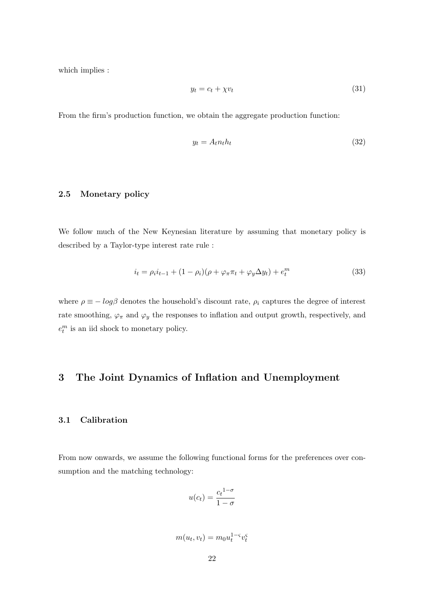which implies :

$$
y_t = c_t + \chi v_t \tag{31}
$$

From the firm's production function, we obtain the aggregate production function:

$$
y_t = A_t n_t h_t \tag{32}
$$

#### 2.5 Monetary policy

We follow much of the New Keynesian literature by assuming that monetary policy is described by a Taylor-type interest rate rule :

$$
i_t = \rho_i i_{t-1} + (1 - \rho_i)(\rho + \varphi_\pi \pi_t + \varphi_y \Delta y_t) + e_t^m
$$
\n(33)

where  $\rho \equiv -\log\beta$  denotes the household's discount rate,  $\rho_i$  captures the degree of interest rate smoothing,  $\varphi_{\pi}$  and  $\varphi_{y}$  the responses to inflation and output growth, respectively, and  $e_t^m$  is an iid shock to monetary policy.

## 3 The Joint Dynamics of Inflation and Unemployment

#### 3.1 Calibration

From now onwards, we assume the following functional forms for the preferences over consumption and the matching technology:

$$
u(c_t) = \frac{c_t^{1-\sigma}}{1-\sigma}
$$

$$
m(u_t, v_t) = m_0 u_t^{1-\varsigma} v_t^{\varsigma}
$$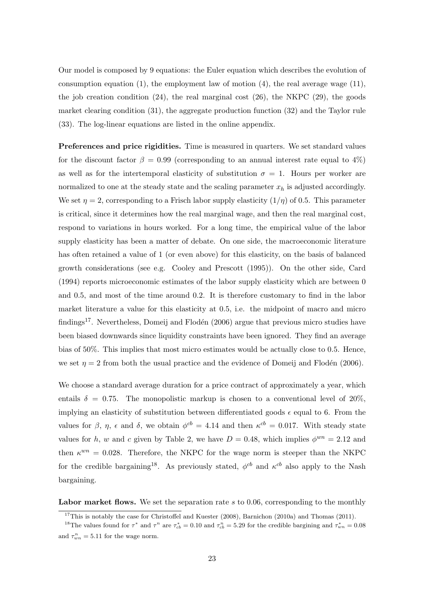Our model is composed by 9 equations: the Euler equation which describes the evolution of consumption equation (1), the employment law of motion (4), the real average wage (11), the job creation condition (24), the real marginal cost (26), the NKPC (29), the goods market clearing condition (31), the aggregate production function (32) and the Taylor rule (33). The log-linear equations are listed in the online appendix.

Preferences and price rigidities. Time is measured in quarters. We set standard values for the discount factor  $\beta = 0.99$  (corresponding to an annual interest rate equal to 4%) as well as for the intertemporal elasticity of substitution  $\sigma = 1$ . Hours per worker are normalized to one at the steady state and the scaling parameter  $x<sub>h</sub>$  is adjusted accordingly. We set  $\eta = 2$ , corresponding to a Frisch labor supply elasticity  $(1/\eta)$  of 0.5. This parameter is critical, since it determines how the real marginal wage, and then the real marginal cost, respond to variations in hours worked. For a long time, the empirical value of the labor supply elasticity has been a matter of debate. On one side, the macroeconomic literature has often retained a value of 1 (or even above) for this elasticity, on the basis of balanced growth considerations (see e.g. Cooley and Prescott (1995)). On the other side, Card (1994) reports microeconomic estimates of the labor supply elasticity which are between 0 and 0.5, and most of the time around 0.2. It is therefore customary to find in the labor market literature a value for this elasticity at 0.5, i.e. the midpoint of macro and micro findings<sup>17</sup>. Nevertheless, Domeij and Flodén (2006) argue that previous micro studies have been biased downwards since liquidity constraints have been ignored. They find an average bias of 50%. This implies that most micro estimates would be actually close to 0.5. Hence, we set  $\eta = 2$  from both the usual practice and the evidence of Domeij and Flodén (2006).

We choose a standard average duration for a price contract of approximately a year, which entails  $\delta = 0.75$ . The monopolistic markup is chosen to a conventional level of 20%, implying an elasticity of substitution between differentiated goods  $\epsilon$  equal to 6. From the values for  $\beta$ ,  $\eta$ ,  $\epsilon$  and  $\delta$ , we obtain  $\phi^{cb} = 4.14$  and then  $\kappa^{cb} = 0.017$ . With steady state values for h, w and c given by Table 2, we have  $D = 0.48$ , which implies  $\phi^{wn} = 2.12$  and then  $\kappa^{wn} = 0.028$ . Therefore, the NKPC for the wage norm is steeper than the NKPC for the credible bargaining<sup>18</sup>. As previously stated,  $\phi^{cb}$  and  $\kappa^{cb}$  also apply to the Nash bargaining.

Labor market flows. We set the separation rate s to 0.06, corresponding to the monthly

<sup>&</sup>lt;sup>17</sup>This is notably the case for Christoffel and Kuester  $(2008)$ , Barnichon  $(2010a)$  and Thomas  $(2011)$ .

<sup>&</sup>lt;sup>18</sup>The values found for  $\tau^*$  and  $\tau^n$  are  $\tau^*_{cb} = 0.10$  and  $\tau^n_{cb} = 5.29$  for the credible bargining and  $\tau^*_{wn} = 0.08$ and  $\tau_{wn}^n = 5.11$  for the wage norm.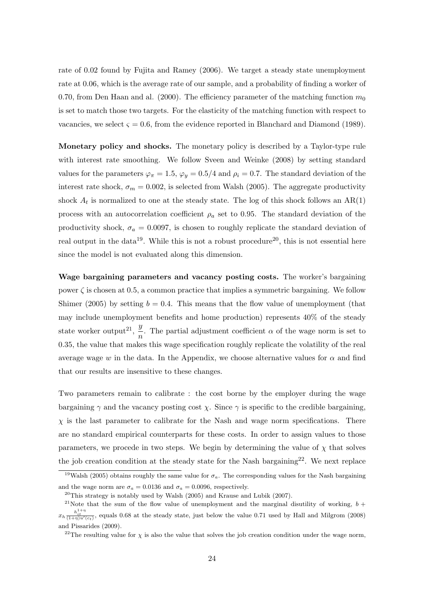rate of 0.02 found by Fujita and Ramey (2006). We target a steady state unemployment rate at 0.06, which is the average rate of our sample, and a probability of finding a worker of 0.70, from Den Haan and al. (2000). The efficiency parameter of the matching function  $m_0$ is set to match those two targets. For the elasticity of the matching function with respect to vacancies, we select  $\zeta = 0.6$ , from the evidence reported in Blanchard and Diamond (1989).

Monetary policy and shocks. The monetary policy is described by a Taylor-type rule with interest rate smoothing. We follow Sveen and Weinke (2008) by setting standard values for the parameters  $\varphi_{\pi} = 1.5$ ,  $\varphi_{y} = 0.5/4$  and  $\rho_{i} = 0.7$ . The standard deviation of the interest rate shock,  $\sigma_m = 0.002$ , is selected from Walsh (2005). The aggregate productivity shock  $A_t$  is normalized to one at the steady state. The log of this shock follows an  $AR(1)$ process with an autocorrelation coefficient  $\rho_a$  set to 0.95. The standard deviation of the productivity shock,  $\sigma_a = 0.0097$ , is chosen to roughly replicate the standard deviation of real output in the data<sup>19</sup>. While this is not a robust procedure<sup>20</sup>, this is not essential here since the model is not evaluated along this dimension.

Wage bargaining parameters and vacancy posting costs. The worker's bargaining power  $\zeta$  is chosen at 0.5, a common practice that implies a symmetric bargaining. We follow Shimer (2005) by setting  $b = 0.4$ . This means that the flow value of unemployment (that may include unemployment benefits and home production) represents 40% of the steady state worker output<sup>21</sup>,  $\frac{y}{x}$  $\frac{9}{n}$ . The partial adjustment coefficient  $\alpha$  of the wage norm is set to 0.35, the value that makes this wage specification roughly replicate the volatility of the real average wage w in the data. In the Appendix, we choose alternative values for  $\alpha$  and find that our results are insensitive to these changes.

Two parameters remain to calibrate : the cost borne by the employer during the wage bargaining  $\gamma$  and the vacancy posting cost  $\chi$ . Since  $\gamma$  is specific to the credible bargaining,  $\chi$  is the last parameter to calibrate for the Nash and wage norm specifications. There are no standard empirical counterparts for these costs. In order to assign values to those parameters, we procede in two steps. We begin by determining the value of  $\chi$  that solves the job creation condition at the steady state for the Nash bargaining<sup>22</sup>. We next replace

<sup>&</sup>lt;sup>19</sup>Walsh (2005) obtains roughly the same value for  $\sigma_a$ . The corresponding values for the Nash bargaining and the wage norm are  $\sigma_a = 0.0136$  and  $\sigma_a = 0.0096$ , respectively.

 $^{20}$ This strategy is notably used by Walsh (2005) and Krause and Lubik (2007).

<sup>&</sup>lt;sup>21</sup>Note that the sum of the flow value of unemployment and the marginal disutility of working,  $b +$  $x_h \frac{h_{it}^{1+\eta}}{(1+\eta)u'(c_t)}$ , equals 0.68 at the steady state, just below the value 0.71 used by Hall and Milgrom (2008) and Pissarides (2009).

<sup>&</sup>lt;sup>22</sup>The resulting value for  $\chi$  is also the value that solves the job creation condition under the wage norm,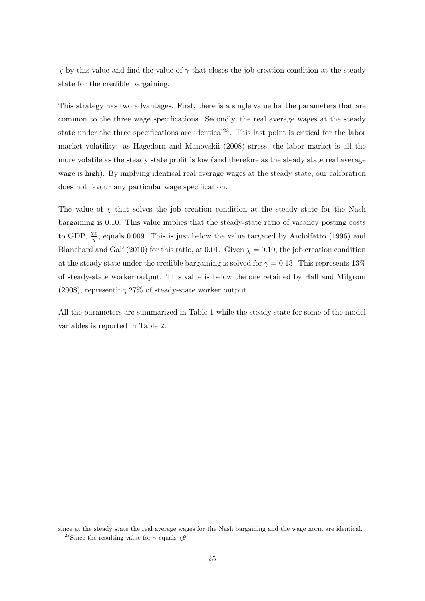$\chi$  by this value and find the value of  $\gamma$  that closes the job creation condition at the steady state for the credible bargaining.

This strategy has two advantages. First, there is a single value for the parameters that are common to the three wage specifications. Secondly, the real average wages at the steady state under the three specifications are identical<sup>23</sup>. This last point is critical for the labor market volatility: as Hagedorn and Manovskii (2008) stress, the labor market is all the more volatile as the steady state profit is low (and therefore as the steady state real average wage is high). By implying identical real average wages at the steady state, our calibration does not favour any particular wage specification.

The value of  $\chi$  that solves the job creation condition at the steady state for the Nash bargaining is 0.10. This value implies that the steady-state ratio of vacancy posting costs to GDP,  $\frac{\chi v}{y}$ , equals 0.009. This is just below the value targeted by Andolfatto (1996) and Blanchard and Galí (2010) for this ratio, at 0.01. Given  $\chi = 0.10$ , the job creation condition at the steady state under the credible bargaining is solved for  $\gamma = 0.13$ . This represents 13% of steady-state worker output. This value is below the one retained by Hall and Milgrom (2008), representing 27% of steady-state worker output.

All the parameters are summarized in Table 1 while the steady state for some of the model variables is reported in Table 2.

since at the steady state the real average wages for the Nash bargaining and the wage norm are identical. <sup>23</sup>Since the resulting value for  $\gamma$  equals  $\chi \theta$ .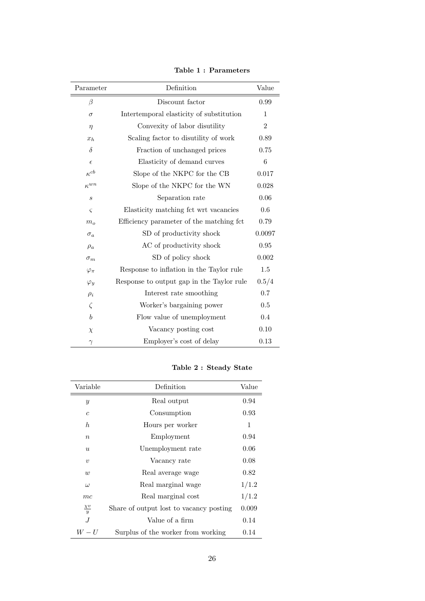| Parameter        | Definition                                | Value          |
|------------------|-------------------------------------------|----------------|
| $\beta$          | Discount factor                           | 0.99           |
| $\sigma$         | Intertemporal elasticity of substitution  | 1              |
| $\eta$           | Convexity of labor disutility             | $\overline{2}$ |
| $x_h$            | Scaling factor to disutility of work      | 0.89           |
| $\delta$         | Fraction of unchanged prices              | 0.75           |
| $\epsilon$       | Elasticity of demand curves               | 6              |
| $\kappa^{cb}$    | Slope of the NKPC for the CB              | 0.017          |
| $\kappa^{wn}$    | Slope of the NKPC for the WN              | 0.028          |
| $\boldsymbol{s}$ | Separation rate                           | 0.06           |
| $\varsigma$      | Elasticity matching for wrt vacancies     | 0.6            |
| m <sub>o</sub>   | Efficiency parameter of the matching fct  | 0.79           |
| $\sigma_a$       | SD of productivity shock                  | 0.0097         |
| $\rho_a$         | AC of productivity shock                  | 0.95           |
| $\sigma_m$       | SD of policy shock                        | 0.002          |
| $\varphi_{\pi}$  | Response to inflation in the Taylor rule  | 1.5            |
| $\varphi_u$      | Response to output gap in the Taylor rule | 0.5/4          |
| $\rho_i$         | Interest rate smoothing                   | 0.7            |
| $\zeta$          | Worker's bargaining power                 | 0.5            |
| $\boldsymbol{b}$ | Flow value of unemployment                | 0.4            |
| $\chi$           | Vacancy posting cost                      | 0.10           |
| $\gamma$         | Employer's cost of delay                  | 0.13           |

Table 1 : Parameters

#### Table 2 : Steady State

| Variable                                 | Definition                              | Value |
|------------------------------------------|-----------------------------------------|-------|
| $\boldsymbol{y}$                         | Real output                             | 0.94  |
| $\boldsymbol{c}$                         | Consumption                             | 0.93  |
| $\boldsymbol{h}$                         | Hours per worker                        | 1     |
| $\it n$                                  | Employment                              | 0.94  |
| $\boldsymbol{u}$                         | Unemployment rate                       | 0.06  |
| $\boldsymbol{v}$                         | Vacancy rate                            | 0.08  |
| w                                        | Real average wage                       | 0.82  |
| $\omega$                                 | Real marginal wage                      | 1/1.2 |
| mc                                       | Real marginal cost                      | 1/1.2 |
| $\underline{\chi v}$<br>$\boldsymbol{y}$ | Share of output lost to vacancy posting | 0.009 |
| J                                        | Value of a firm                         | 0.14  |
| $W-U$                                    | Surplus of the worker from working      | 0.14  |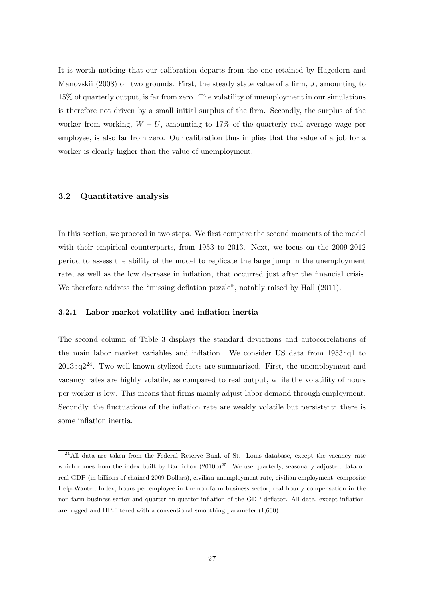It is worth noticing that our calibration departs from the one retained by Hagedorn and Manovskii (2008) on two grounds. First, the steady state value of a firm, J, amounting to 15% of quarterly output, is far from zero. The volatility of unemployment in our simulations is therefore not driven by a small initial surplus of the firm. Secondly, the surplus of the worker from working,  $W - U$ , amounting to 17% of the quarterly real average wage per employee, is also far from zero. Our calibration thus implies that the value of a job for a worker is clearly higher than the value of unemployment.

#### 3.2 Quantitative analysis

In this section, we proceed in two steps. We first compare the second moments of the model with their empirical counterparts, from 1953 to 2013. Next, we focus on the 2009-2012 period to assess the ability of the model to replicate the large jump in the unemployment rate, as well as the low decrease in inflation, that occurred just after the financial crisis. We therefore address the "missing deflation puzzle", notably raised by Hall (2011).

#### 3.2.1 Labor market volatility and inflation inertia

The second column of Table 3 displays the standard deviations and autocorrelations of the main labor market variables and inflation. We consider US data from 1953: q1 to  $2013: q2^{24}$ . Two well-known stylized facts are summarized. First, the unemployment and vacancy rates are highly volatile, as compared to real output, while the volatility of hours per worker is low. This means that firms mainly adjust labor demand through employment. Secondly, the fluctuations of the inflation rate are weakly volatile but persistent: there is some inflation inertia.

<sup>&</sup>lt;sup>24</sup>All data are taken from the Federal Reserve Bank of St. Louis database, except the vacancy rate which comes from the index built by Barnichon  $(2010b)^{25}$ . We use quarterly, seasonally adjusted data on real GDP (in billions of chained 2009 Dollars), civilian unemployment rate, civilian employment, composite Help-Wanted Index, hours per employee in the non-farm business sector, real hourly compensation in the non-farm business sector and quarter-on-quarter inflation of the GDP deflator. All data, except inflation, are logged and HP-filtered with a conventional smoothing parameter (1,600).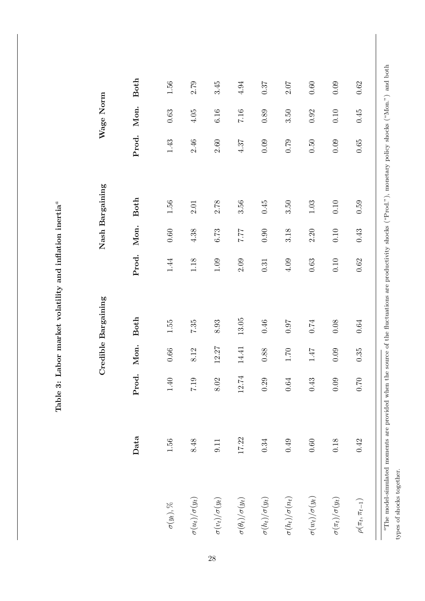| ř<br>Č<br>∍      |
|------------------|
| ř<br>č<br>ò<br>5 |
|                  |
| Š<br>۲           |

| ;<br>į                                                                                                                                                                                                                               |
|--------------------------------------------------------------------------------------------------------------------------------------------------------------------------------------------------------------------------------------|
| ï<br>į                                                                                                                                                                                                                               |
| i<br>ו<br>נ                                                                                                                                                                                                                          |
| $\frac{1}{2}$<br>l                                                                                                                                                                                                                   |
| ;<br>)<br>j                                                                                                                                                                                                                          |
| $-1.32$<br>;<br>$\overline{\phantom{a}}$                                                                                                                                                                                             |
| l                                                                                                                                                                                                                                    |
| <b>Continued in the continued of the continued of the continued of the continued of the continued of the continued of the continued of the continued of the continued of the continued of the continued of the continued of the </b> |
| こうらく くうく こうくうしゃ                                                                                                                                                                                                                      |
| ו<br>ו<br>ׇ֘֝֬֝<br>$\ddot{\phantom{a}}$<br>j                                                                                                                                                                                         |
| ţ                                                                                                                                                                                                                                    |
| 一种 化二甲基苯基<br>)<br>S<br>$\frac{1}{2}$<br>ļ                                                                                                                                                                                            |
| Ś                                                                                                                                                                                                                                    |
|                                                                                                                                                                                                                                      |
|                                                                                                                                                                                                                                      |
|                                                                                                                                                                                                                                      |
|                                                                                                                                                                                                                                      |
|                                                                                                                                                                                                                                      |
|                                                                                                                                                                                                                                      |

|                     | <b>Both</b> | $1.56\,$          | 2.79                      | 3.45                      | 4.94                           | 0.37                      | 2.07                      | 0.60                      | 0.09                        | 0.62                    |  |
|---------------------|-------------|-------------------|---------------------------|---------------------------|--------------------------------|---------------------------|---------------------------|---------------------------|-----------------------------|-------------------------|--|
| Wage Norm           | Mon.        | 0.63              | 4.05                      | 6.16                      | 7.16                           | 0.89                      | 3.50                      | 0.92                      | 0.10                        | 0.45                    |  |
|                     | Prod.       | 1.43              | 2.46                      | 2.60                      | 4.37                           | 0.09                      | 0.79                      | 0.50                      | 0.09                        | 0.65                    |  |
| Nash Bargaining     | <b>Both</b> | 1.56              | 2.01                      | 2.78                      | 3.56                           | 0.45                      | 3.50                      | $1.03\,$                  | $0.10\,$                    | 0.59                    |  |
|                     | Mon.        | 0.60              | 4.38                      | 6.73                      | 77.77                          | 0.90                      | 3.18                      | 2.20                      | 0.10                        | 0.43                    |  |
|                     | Prod.       | 1.44              | 1.18                      | 1.09                      | 2.09                           | 0.31                      | 4.09                      | $0.63\,$                  | 0.10                        | 0.62                    |  |
| Credible Bargaining | <b>Both</b> | 1.55              | 7.35                      | 8.93                      | 13.05                          | 0.46                      | <b>160</b>                | 0.74                      | 0.08                        | 0.64                    |  |
|                     | Mon.        | 0.66              | 8.12                      | 12.27                     | 14.41                          | 0.88                      | $1.70\,$                  | 1.47                      | 0.09                        | 0.35                    |  |
|                     | Prod.       | $\overline{40}$   | .19<br>$\overline{z}$     | .02<br>$\infty$           | 12.74                          | 29<br>$\circ$             | .64<br>$\circ$            | 0.43                      | $60$ .<br>$\circ$           | 0.70                    |  |
|                     | Data        | $1.56\,$          | 8.48                      | 9.11                      | 17.22                          | $0.34\,$                  | $0.49\,$                  | $0.60\,$                  | 0.18                        | 0.42                    |  |
|                     |             | $\sigma(y_t), \%$ | $\sigma(u_t)/\sigma(y_t)$ | $\sigma(v_t)/\sigma(y_t)$ | $\sigma(\theta_t)/\sigma(y_t)$ | $\sigma(h_t)/\sigma(y_t)$ | $\sigma(h_t)/\sigma(n_t)$ | $\sigma(w_t)/\sigma(y_t)$ | $\sigma(\pi_t)/\sigma(y_t)$ | $\rho(\pi_t,\pi_{t-1})$ |  |

Table 3: Labor market volatility and inflation inertia $^a$ Table 3: Labor market volatility and inflation inertia $^a$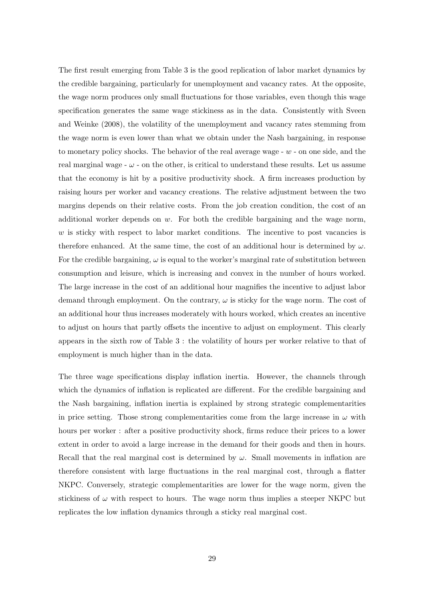The first result emerging from Table 3 is the good replication of labor market dynamics by the credible bargaining, particularly for unemployment and vacancy rates. At the opposite, the wage norm produces only small fluctuations for those variables, even though this wage specification generates the same wage stickiness as in the data. Consistently with Sveen and Weinke (2008), the volatility of the unemployment and vacancy rates stemming from the wage norm is even lower than what we obtain under the Nash bargaining, in response to monetary policy shocks. The behavior of the real average wage  $-w$  - on one side, and the real marginal wage  $-\omega$  - on the other, is critical to understand these results. Let us assume that the economy is hit by a positive productivity shock. A firm increases production by raising hours per worker and vacancy creations. The relative adjustment between the two margins depends on their relative costs. From the job creation condition, the cost of an additional worker depends on  $w$ . For both the credible bargaining and the wage norm,  $w$  is sticky with respect to labor market conditions. The incentive to post vacancies is therefore enhanced. At the same time, the cost of an additional hour is determined by  $\omega$ . For the credible bargaining,  $\omega$  is equal to the worker's marginal rate of substitution between consumption and leisure, which is increasing and convex in the number of hours worked. The large increase in the cost of an additional hour magnifies the incentive to adjust labor demand through employment. On the contrary,  $\omega$  is sticky for the wage norm. The cost of an additional hour thus increases moderately with hours worked, which creates an incentive to adjust on hours that partly offsets the incentive to adjust on employment. This clearly appears in the sixth row of Table 3 : the volatility of hours per worker relative to that of employment is much higher than in the data.

The three wage specifications display inflation inertia. However, the channels through which the dynamics of inflation is replicated are different. For the credible bargaining and the Nash bargaining, inflation inertia is explained by strong strategic complementarities in price setting. Those strong complementarities come from the large increase in  $\omega$  with hours per worker : after a positive productivity shock, firms reduce their prices to a lower extent in order to avoid a large increase in the demand for their goods and then in hours. Recall that the real marginal cost is determined by  $\omega$ . Small movements in inflation are therefore consistent with large fluctuations in the real marginal cost, through a flatter NKPC. Conversely, strategic complementarities are lower for the wage norm, given the stickiness of  $\omega$  with respect to hours. The wage norm thus implies a steeper NKPC but replicates the low inflation dynamics through a sticky real marginal cost.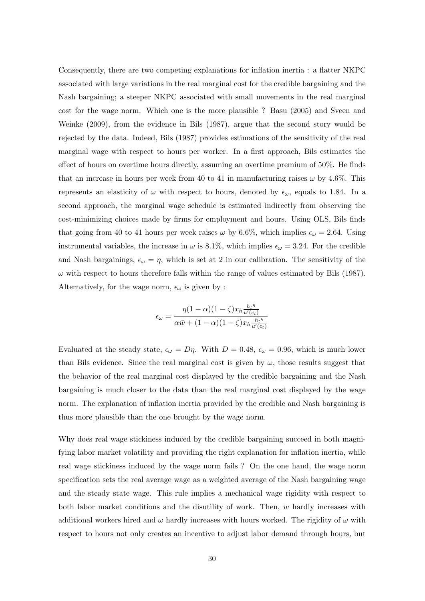Consequently, there are two competing explanations for inflation inertia : a flatter NKPC associated with large variations in the real marginal cost for the credible bargaining and the Nash bargaining; a steeper NKPC associated with small movements in the real marginal cost for the wage norm. Which one is the more plausible ? Basu (2005) and Sveen and Weinke (2009), from the evidence in Bils (1987), argue that the second story would be rejected by the data. Indeed, Bils (1987) provides estimations of the sensitivity of the real marginal wage with respect to hours per worker. In a first approach, Bils estimates the effect of hours on overtime hours directly, assuming an overtime premium of 50%. He finds that an increase in hours per week from 40 to 41 in manufacturing raises  $\omega$  by 4.6%. This represents an elasticity of  $\omega$  with respect to hours, denoted by  $\epsilon_{\omega}$ , equals to 1.84. In a second approach, the marginal wage schedule is estimated indirectly from observing the cost-minimizing choices made by firms for employment and hours. Using OLS, Bils finds that going from 40 to 41 hours per week raises  $\omega$  by 6.6%, which implies  $\epsilon_{\omega} = 2.64$ . Using instrumental variables, the increase in  $\omega$  is 8.1%, which implies  $\epsilon_{\omega} = 3.24$ . For the credible and Nash bargainings,  $\epsilon_{\omega} = \eta$ , which is set at 2 in our calibration. The sensitivity of the  $\omega$  with respect to hours therefore falls within the range of values estimated by Bils (1987). Alternatively, for the wage norm,  $\epsilon_{\omega}$  is given by :

$$
\epsilon_{\omega} = \frac{\eta(1-\alpha)(1-\zeta)x_h\frac{h t^{\eta}}{u'(c_t)}}{\alpha \bar{w} + (1-\alpha)(1-\zeta)x_h\frac{h t^{\eta}}{u'(c_t)}}
$$

Evaluated at the steady state,  $\epsilon_{\omega} = D\eta$ . With  $D = 0.48$ ,  $\epsilon_{\omega} = 0.96$ , which is much lower than Bils evidence. Since the real marginal cost is given by  $\omega$ , those results suggest that the behavior of the real marginal cost displayed by the credible bargaining and the Nash bargaining is much closer to the data than the real marginal cost displayed by the wage norm. The explanation of inflation inertia provided by the credible and Nash bargaining is thus more plausible than the one brought by the wage norm.

Why does real wage stickiness induced by the credible bargaining succeed in both magnifying labor market volatility and providing the right explanation for inflation inertia, while real wage stickiness induced by the wage norm fails ? On the one hand, the wage norm specification sets the real average wage as a weighted average of the Nash bargaining wage and the steady state wage. This rule implies a mechanical wage rigidity with respect to both labor market conditions and the disutility of work. Then, w hardly increases with additional workers hired and  $\omega$  hardly increases with hours worked. The rigidity of  $\omega$  with respect to hours not only creates an incentive to adjust labor demand through hours, but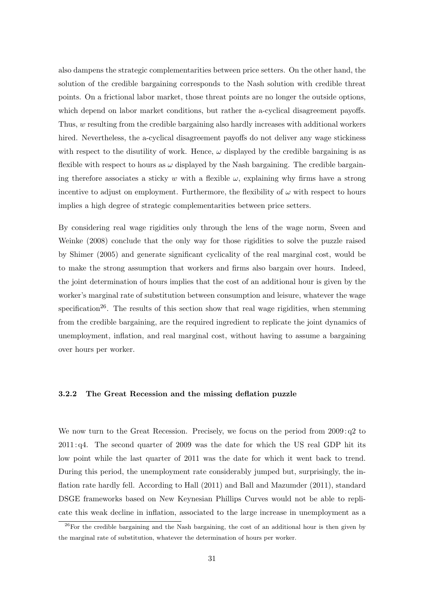also dampens the strategic complementarities between price setters. On the other hand, the solution of the credible bargaining corresponds to the Nash solution with credible threat points. On a frictional labor market, those threat points are no longer the outside options, which depend on labor market conditions, but rather the a-cyclical disagreement payoffs. Thus, w resulting from the credible bargaining also hardly increases with additional workers hired. Nevertheless, the a-cyclical disagreement payoffs do not deliver any wage stickiness with respect to the disutility of work. Hence,  $\omega$  displayed by the credible bargaining is as flexible with respect to hours as  $\omega$  displayed by the Nash bargaining. The credible bargaining therefore associates a sticky w with a flexible  $\omega$ , explaining why firms have a strong incentive to adjust on employment. Furthermore, the flexibility of  $\omega$  with respect to hours implies a high degree of strategic complementarities between price setters.

By considering real wage rigidities only through the lens of the wage norm, Sveen and Weinke (2008) conclude that the only way for those rigidities to solve the puzzle raised by Shimer (2005) and generate significant cyclicality of the real marginal cost, would be to make the strong assumption that workers and firms also bargain over hours. Indeed, the joint determination of hours implies that the cost of an additional hour is given by the worker's marginal rate of substitution between consumption and leisure, whatever the wage specification<sup>26</sup>. The results of this section show that real wage rigidities, when stemming from the credible bargaining, are the required ingredient to replicate the joint dynamics of unemployment, inflation, and real marginal cost, without having to assume a bargaining over hours per worker.

#### 3.2.2 The Great Recession and the missing deflation puzzle

We now turn to the Great Recession. Precisely, we focus on the period from  $2009: q2$  to 2011: q4. The second quarter of 2009 was the date for which the US real GDP hit its low point while the last quarter of 2011 was the date for which it went back to trend. During this period, the unemployment rate considerably jumped but, surprisingly, the inflation rate hardly fell. According to Hall (2011) and Ball and Mazumder (2011), standard DSGE frameworks based on New Keynesian Phillips Curves would not be able to replicate this weak decline in inflation, associated to the large increase in unemployment as a

 $^{26}$ For the credible bargaining and the Nash bargaining, the cost of an additional hour is then given by the marginal rate of substitution, whatever the determination of hours per worker.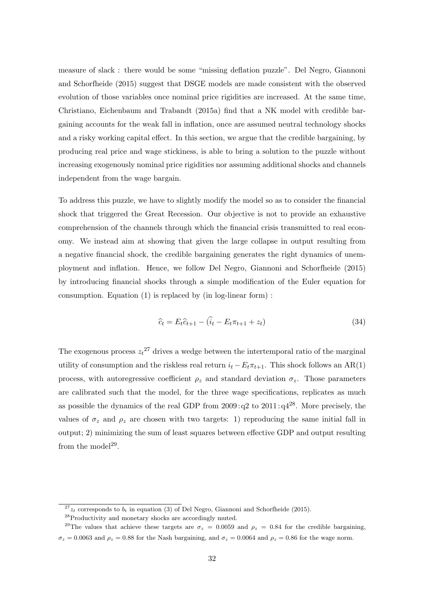measure of slack : there would be some "missing deflation puzzle". Del Negro, Giannoni and Schorfheide (2015) suggest that DSGE models are made consistent with the observed evolution of those variables once nominal price rigidities are increased. At the same time, Christiano, Eichenbaum and Trabandt (2015a) find that a NK model with credible bargaining accounts for the weak fall in inflation, once are assumed neutral technology shocks and a risky working capital effect. In this section, we argue that the credible bargaining, by producing real price and wage stickiness, is able to bring a solution to the puzzle without increasing exogenously nominal price rigidities nor assuming additional shocks and channels independent from the wage bargain.

To address this puzzle, we have to slightly modify the model so as to consider the financial shock that triggered the Great Recession. Our objective is not to provide an exhaustive comprehension of the channels through which the financial crisis transmitted to real economy. We instead aim at showing that given the large collapse in output resulting from a negative financial shock, the credible bargaining generates the right dynamics of unemployment and inflation. Hence, we follow Del Negro, Giannoni and Schorfheide (2015) by introducing financial shocks through a simple modification of the Euler equation for consumption. Equation (1) is replaced by (in log-linear form) :

$$
\hat{c}_t = E_t \hat{c}_{t+1} - (\hat{i}_t - E_t \pi_{t+1} + z_t)
$$
\n(34)

The exogenous process  $z_t^{27}$  drives a wedge between the intertemporal ratio of the marginal utility of consumption and the riskless real return  $i_t - E_t \pi_{t+1}$ . This shock follows an AR(1) process, with autoregressive coefficient  $\rho_z$  and standard deviation  $\sigma_z$ . Those parameters are calibrated such that the model, for the three wage specifications, replicates as much as possible the dynamics of the real GDP from  $2009: q2$  to  $2011: q4^{28}$ . More precisely, the values of  $\sigma_z$  and  $\rho_z$  are chosen with two targets: 1) reproducing the same initial fall in output; 2) minimizing the sum of least squares between effective GDP and output resulting from the model<sup>29</sup>.

 $^{27}z_t$  corresponds to  $b_t$  in equation (3) of Del Negro, Giannoni and Schorfheide (2015).

<sup>28</sup>Productivity and monetary shocks are accordingly muted.

<sup>&</sup>lt;sup>29</sup>The values that achieve these targets are  $\sigma_z = 0.0059$  and  $\rho_z = 0.84$  for the credible bargaining,  $\sigma_z = 0.0063$  and  $\rho_z = 0.88$  for the Nash bargaining, and  $\sigma_z = 0.0064$  and  $\rho_z = 0.86$  for the wage norm.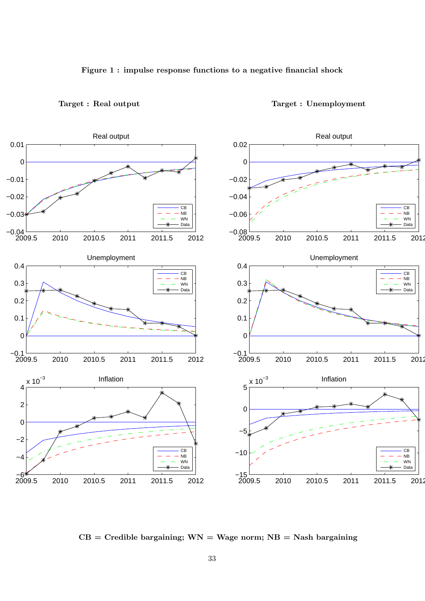#### Figure 1 : impulse response functions to a negative financial shock



Target : Real output Target : Unemployment

 $CB = C$ redible bargaining;  $WN = W$ age norm;  $NB = N$ ash bargaining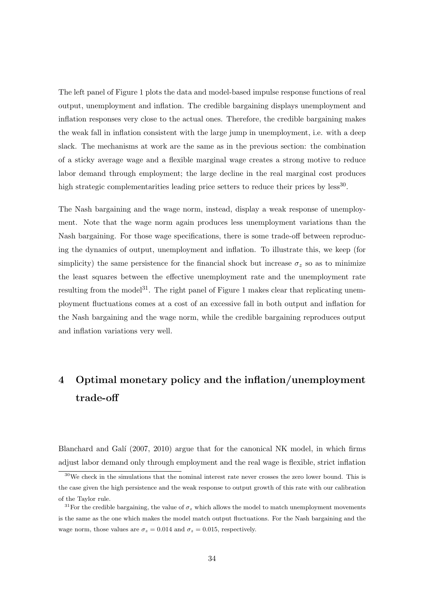The left panel of Figure 1 plots the data and model-based impulse response functions of real output, unemployment and inflation. The credible bargaining displays unemployment and inflation responses very close to the actual ones. Therefore, the credible bargaining makes the weak fall in inflation consistent with the large jump in unemployment, i.e. with a deep slack. The mechanisms at work are the same as in the previous section: the combination of a sticky average wage and a flexible marginal wage creates a strong motive to reduce labor demand through employment; the large decline in the real marginal cost produces high strategic complementarities leading price setters to reduce their prices by less<sup>30</sup>.

The Nash bargaining and the wage norm, instead, display a weak response of unemployment. Note that the wage norm again produces less unemployment variations than the Nash bargaining. For those wage specifications, there is some trade-off between reproducing the dynamics of output, unemployment and inflation. To illustrate this, we keep (for simplicity) the same persistence for the financial shock but increase  $\sigma_z$  so as to minimize the least squares between the effective unemployment rate and the unemployment rate resulting from the model<sup>31</sup>. The right panel of Figure 1 makes clear that replicating unemployment fluctuations comes at a cost of an excessive fall in both output and inflation for the Nash bargaining and the wage norm, while the credible bargaining reproduces output and inflation variations very well.

## 4 Optimal monetary policy and the inflation/unemployment trade-off

Blanchard and Galí (2007, 2010) argue that for the canonical NK model, in which firms adjust labor demand only through employment and the real wage is flexible, strict inflation

 $30$ We check in the simulations that the nominal interest rate never crosses the zero lower bound. This is the case given the high persistence and the weak response to output growth of this rate with our calibration of the Taylor rule.

<sup>&</sup>lt;sup>31</sup>For the credible bargaining, the value of  $\sigma_z$  which allows the model to match unemployment movements is the same as the one which makes the model match output fluctuations. For the Nash bargaining and the wage norm, those values are  $\sigma_z = 0.014$  and  $\sigma_z = 0.015$ , respectively.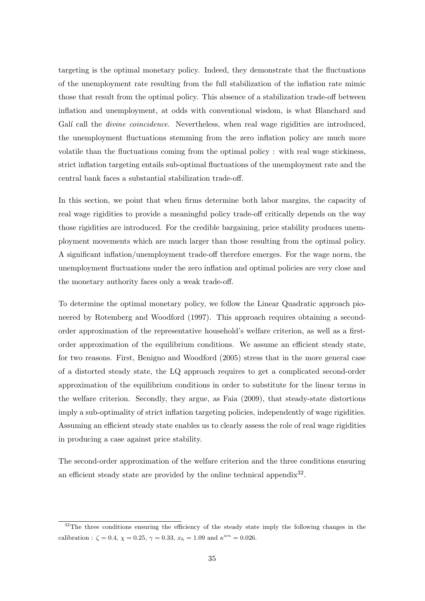targeting is the optimal monetary policy. Indeed, they demonstrate that the fluctuations of the unemployment rate resulting from the full stabilization of the inflation rate mimic those that result from the optimal policy. This absence of a stabilization trade-off between inflation and unemployment, at odds with conventional wisdom, is what Blanchard and Galí call the *divine coincidence*. Nevertheless, when real wage rigidities are introduced, the unemployment fluctuations stemming from the zero inflation policy are much more volatile than the fluctuations coming from the optimal policy : with real wage stickiness, strict inflation targeting entails sub-optimal fluctuations of the unemployment rate and the central bank faces a substantial stabilization trade-off.

In this section, we point that when firms determine both labor margins, the capacity of real wage rigidities to provide a meaningful policy trade-off critically depends on the way those rigidities are introduced. For the credible bargaining, price stability produces unemployment movements which are much larger than those resulting from the optimal policy. A significant inflation/unemployment trade-off therefore emerges. For the wage norm, the unemployment fluctuations under the zero inflation and optimal policies are very close and the monetary authority faces only a weak trade-off.

To determine the optimal monetary policy, we follow the Linear Quadratic approach pioneered by Rotemberg and Woodford (1997). This approach requires obtaining a secondorder approximation of the representative household's welfare criterion, as well as a firstorder approximation of the equilibrium conditions. We assume an efficient steady state, for two reasons. First, Benigno and Woodford (2005) stress that in the more general case of a distorted steady state, the LQ approach requires to get a complicated second-order approximation of the equilibrium conditions in order to substitute for the linear terms in the welfare criterion. Secondly, they argue, as Faia (2009), that steady-state distortions imply a sub-optimality of strict inflation targeting policies, independently of wage rigidities. Assuming an efficient steady state enables us to clearly assess the role of real wage rigidities in producing a case against price stability.

The second-order approximation of the welfare criterion and the three conditions ensuring an efficient steady state are provided by the online technical appendix $32$ .

 $32$ The three conditions ensuring the efficiency of the steady state imply the following changes in the calibration :  $\zeta = 0.4$ ,  $\chi = 0.25$ ,  $\gamma = 0.33$ ,  $x_h = 1.09$  and  $\kappa^{wn} = 0.026$ .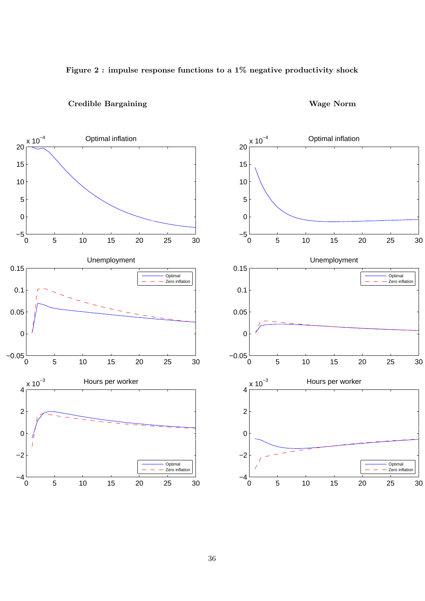Figure 2 : impulse response functions to a 1% negative productivity shock



## Credible Bargaining Wage Norm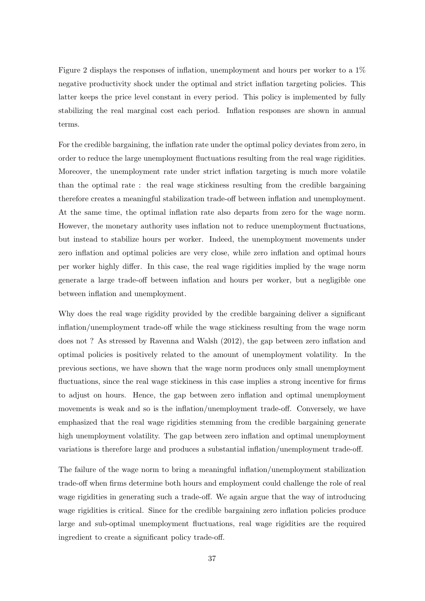Figure 2 displays the responses of inflation, unemployment and hours per worker to a 1% negative productivity shock under the optimal and strict inflation targeting policies. This latter keeps the price level constant in every period. This policy is implemented by fully stabilizing the real marginal cost each period. Inflation responses are shown in annual terms.

For the credible bargaining, the inflation rate under the optimal policy deviates from zero, in order to reduce the large unemployment fluctuations resulting from the real wage rigidities. Moreover, the unemployment rate under strict inflation targeting is much more volatile than the optimal rate : the real wage stickiness resulting from the credible bargaining therefore creates a meaningful stabilization trade-off between inflation and unemployment. At the same time, the optimal inflation rate also departs from zero for the wage norm. However, the monetary authority uses inflation not to reduce unemployment fluctuations, but instead to stabilize hours per worker. Indeed, the unemployment movements under zero inflation and optimal policies are very close, while zero inflation and optimal hours per worker highly differ. In this case, the real wage rigidities implied by the wage norm generate a large trade-off between inflation and hours per worker, but a negligible one between inflation and unemployment.

Why does the real wage rigidity provided by the credible bargaining deliver a significant inflation/unemployment trade-off while the wage stickiness resulting from the wage norm does not ? As stressed by Ravenna and Walsh (2012), the gap between zero inflation and optimal policies is positively related to the amount of unemployment volatility. In the previous sections, we have shown that the wage norm produces only small unemployment fluctuations, since the real wage stickiness in this case implies a strong incentive for firms to adjust on hours. Hence, the gap between zero inflation and optimal unemployment movements is weak and so is the inflation/unemployment trade-off. Conversely, we have emphasized that the real wage rigidities stemming from the credible bargaining generate high unemployment volatility. The gap between zero inflation and optimal unemployment variations is therefore large and produces a substantial inflation/unemployment trade-off.

The failure of the wage norm to bring a meaningful inflation/unemployment stabilization trade-off when firms determine both hours and employment could challenge the role of real wage rigidities in generating such a trade-off. We again argue that the way of introducing wage rigidities is critical. Since for the credible bargaining zero inflation policies produce large and sub-optimal unemployment fluctuations, real wage rigidities are the required ingredient to create a significant policy trade-off.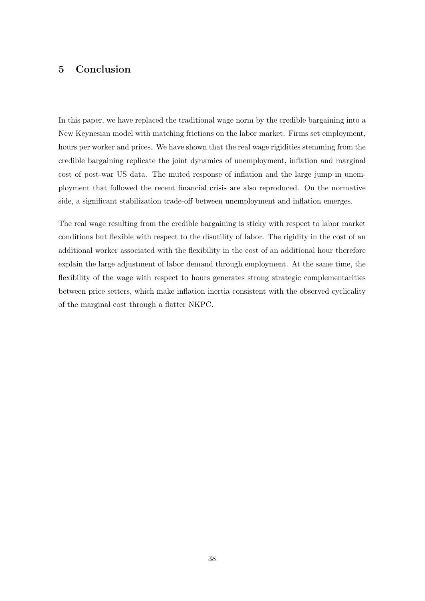## 5 Conclusion

In this paper, we have replaced the traditional wage norm by the credible bargaining into a New Keynesian model with matching frictions on the labor market. Firms set employment, hours per worker and prices. We have shown that the real wage rigidities stemming from the credible bargaining replicate the joint dynamics of unemployment, inflation and marginal cost of post-war US data. The muted response of inflation and the large jump in unemployment that followed the recent financial crisis are also reproduced. On the normative side, a significant stabilization trade-off between unemployment and inflation emerges.

The real wage resulting from the credible bargaining is sticky with respect to labor market conditions but flexible with respect to the disutility of labor. The rigidity in the cost of an additional worker associated with the flexibility in the cost of an additional hour therefore explain the large adjustment of labor demand through employment. At the same time, the flexibility of the wage with respect to hours generates strong strategic complementarities between price setters, which make inflation inertia consistent with the observed cyclicality of the marginal cost through a flatter NKPC.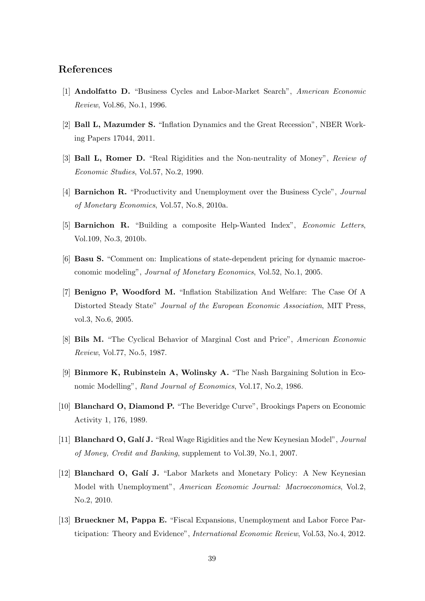### References

- [1] Andolfatto D. "Business Cycles and Labor-Market Search", American Economic Review, Vol.86, No.1, 1996.
- [2] Ball L, Mazumder S. "Inflation Dynamics and the Great Recession", NBER Working Papers 17044, 2011.
- [3] Ball L, Romer D. "Real Rigidities and the Non-neutrality of Money", Review of Economic Studies, Vol.57, No.2, 1990.
- [4] Barnichon R. "Productivity and Unemployment over the Business Cycle", Journal of Monetary Economics, Vol.57, No.8, 2010a.
- [5] Barnichon R. "Building a composite Help-Wanted Index", Economic Letters, Vol.109, No.3, 2010b.
- [6] Basu S. "Comment on: Implications of state-dependent pricing for dynamic macroeconomic modeling", Journal of Monetary Economics, Vol.52, No.1, 2005.
- [7] Benigno P, Woodford M. "Inflation Stabilization And Welfare: The Case Of A Distorted Steady State" Journal of the European Economic Association, MIT Press, vol.3, No.6, 2005.
- [8] Bils M. "The Cyclical Behavior of Marginal Cost and Price", American Economic Review, Vol.77, No.5, 1987.
- [9] Binmore K, Rubinstein A, Wolinsky A. "The Nash Bargaining Solution in Economic Modelling", Rand Journal of Economics, Vol.17, No.2, 1986.
- [10] Blanchard O, Diamond P. "The Beveridge Curve", Brookings Papers on Economic Activity 1, 176, 1989.
- [11] Blanchard O, Galí J. "Real Wage Rigidities and the New Keynesian Model", Journal of Money, Credit and Banking, supplement to Vol.39, No.1, 2007.
- [12] Blanchard O, Galí J. "Labor Markets and Monetary Policy: A New Keynesian Model with Unemployment", American Economic Journal: Macroeconomics, Vol.2, No.2, 2010.
- [13] Brueckner M, Pappa E. "Fiscal Expansions, Unemployment and Labor Force Participation: Theory and Evidence", International Economic Review, Vol.53, No.4, 2012.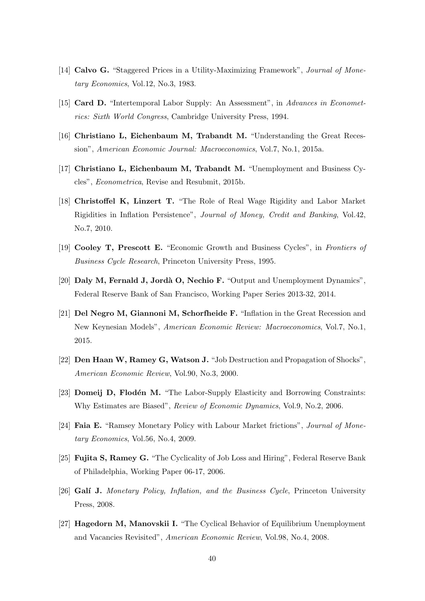- [14] Calvo G. "Staggered Prices in a Utility-Maximizing Framework", Journal of Monetary Economics, Vol.12, No.3, 1983.
- [15] Card D. "Intertemporal Labor Supply: An Assessment", in Advances in Econometrics: Sixth World Congress, Cambridge University Press, 1994.
- [16] Christiano L, Eichenbaum M, Trabandt M. "Understanding the Great Recession", American Economic Journal: Macroeconomics, Vol.7, No.1, 2015a.
- [17] Christiano L, Eichenbaum M, Trabandt M. "Unemployment and Business Cycles", Econometrica, Revise and Resubmit, 2015b.
- [18] Christoffel K, Linzert T. "The Role of Real Wage Rigidity and Labor Market Rigidities in Inflation Persistence", Journal of Money, Credit and Banking, Vol.42, No.7, 2010.
- [19] Cooley T, Prescott E. "Economic Growth and Business Cycles", in Frontiers of Business Cycle Research, Princeton University Press, 1995.
- [20] Daly M, Fernald J, Jordà O, Nechio F. "Output and Unemployment Dynamics", Federal Reserve Bank of San Francisco, Working Paper Series 2013-32, 2014.
- [21] Del Negro M, Giannoni M, Schorfheide F. "Inflation in the Great Recession and New Keynesian Models", American Economic Review: Macroeconomics, Vol.7, No.1, 2015.
- [22] Den Haan W, Ramey G, Watson J. "Job Destruction and Propagation of Shocks", American Economic Review, Vol.90, No.3, 2000.
- [23] **Domeij D, Flodén M.** "The Labor-Supply Elasticity and Borrowing Constraints: Why Estimates are Biased", Review of Economic Dynamics, Vol.9, No.2, 2006.
- [24] **Faia E.** "Ramsey Monetary Policy with Labour Market frictions", *Journal of Mone*tary Economics, Vol.56, No.4, 2009.
- [25] Fujita S, Ramey G. "The Cyclicality of Job Loss and Hiring", Federal Reserve Bank of Philadelphia, Working Paper 06-17, 2006.
- [26] Galí J. Monetary Policy, Inflation, and the Business Cycle, Princeton University Press, 2008.
- [27] Hagedorn M, Manovskii I. "The Cyclical Behavior of Equilibrium Unemployment and Vacancies Revisited", American Economic Review, Vol.98, No.4, 2008.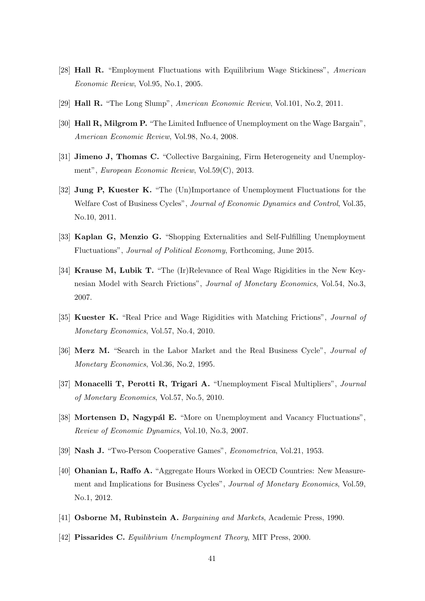- [28] Hall R. "Employment Fluctuations with Equilibrium Wage Stickiness", American Economic Review, Vol.95, No.1, 2005.
- [29] Hall R. "The Long Slump", American Economic Review, Vol.101, No.2, 2011.
- [30] **Hall R, Milgrom P.** "The Limited Influence of Unemployment on the Wage Bargain", American Economic Review, Vol.98, No.4, 2008.
- [31] Jimeno J, Thomas C. "Collective Bargaining, Firm Heterogeneity and Unemployment", European Economic Review, Vol.59(C), 2013.
- [32] Jung P, Kuester K. "The (Un)Importance of Unemployment Fluctuations for the Welfare Cost of Business Cycles", Journal of Economic Dynamics and Control, Vol.35, No.10, 2011.
- [33] Kaplan G, Menzio G. "Shopping Externalities and Self-Fulfilling Unemployment Fluctuations", Journal of Political Economy, Forthcoming, June 2015.
- [34] Krause M, Lubik T. "The (Ir)Relevance of Real Wage Rigidities in the New Keynesian Model with Search Frictions", Journal of Monetary Economics, Vol.54, No.3, 2007.
- [35] Kuester K. "Real Price and Wage Rigidities with Matching Frictions", Journal of Monetary Economics, Vol.57, No.4, 2010.
- [36] Merz M. "Search in the Labor Market and the Real Business Cycle", *Journal of* Monetary Economics, Vol.36, No.2, 1995.
- [37] Monacelli T, Perotti R, Trigari A. "Unemployment Fiscal Multipliers", Journal of Monetary Economics, Vol.57, No.5, 2010.
- [38] Mortensen D, Nagypál E. "More on Unemployment and Vacancy Fluctuations", Review of Economic Dynamics, Vol.10, No.3, 2007.
- [39] Nash J. "Two-Person Cooperative Games", Econometrica, Vol.21, 1953.
- [40] Ohanian L, Raffo A. "Aggregate Hours Worked in OECD Countries: New Measurement and Implications for Business Cycles", Journal of Monetary Economics, Vol.59, No.1, 2012.
- [41] Osborne M, Rubinstein A. Bargaining and Markets, Academic Press, 1990.
- [42] **Pissarides C.** Equilibrium Unemployment Theory, MIT Press, 2000.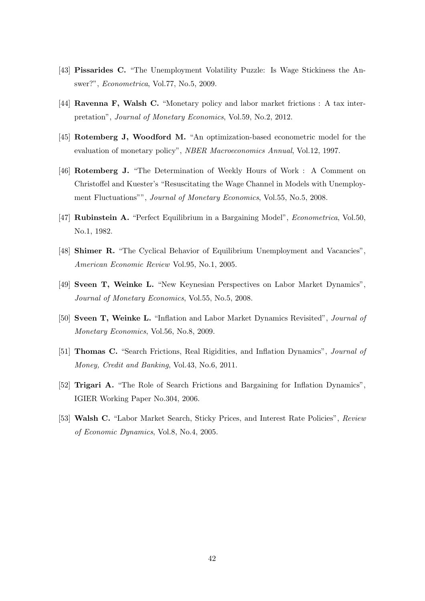- [43] Pissarides C. "The Unemployment Volatility Puzzle: Is Wage Stickiness the Answer?", Econometrica, Vol.77, No.5, 2009.
- [44] Ravenna F, Walsh C. "Monetary policy and labor market frictions : A tax interpretation", Journal of Monetary Economics, Vol.59, No.2, 2012.
- [45] Rotemberg J, Woodford M. "An optimization-based econometric model for the evaluation of monetary policy", NBER Macroeconomics Annual, Vol.12, 1997.
- [46] Rotemberg J. "The Determination of Weekly Hours of Work : A Comment on Christoffel and Kuester's "Resuscitating the Wage Channel in Models with Unemployment Fluctuations"", Journal of Monetary Economics, Vol.55, No.5, 2008.
- [47] Rubinstein A. "Perfect Equilibrium in a Bargaining Model", *Econometrica*, Vol.50, No.1, 1982.
- [48] Shimer R. "The Cyclical Behavior of Equilibrium Unemployment and Vacancies", American Economic Review Vol.95, No.1, 2005.
- [49] Sveen T, Weinke L. "New Keynesian Perspectives on Labor Market Dynamics", Journal of Monetary Economics, Vol.55, No.5, 2008.
- [50] Sveen T, Weinke L. "Inflation and Labor Market Dynamics Revisited", Journal of Monetary Economics, Vol.56, No.8, 2009.
- [51] **Thomas C.** "Search Frictions, Real Rigidities, and Inflation Dynamics", *Journal of* Money, Credit and Banking, Vol.43, No.6, 2011.
- [52] Trigari A. "The Role of Search Frictions and Bargaining for Inflation Dynamics", IGIER Working Paper No.304, 2006.
- [53] Walsh C. "Labor Market Search, Sticky Prices, and Interest Rate Policies", Review of Economic Dynamics, Vol.8, No.4, 2005.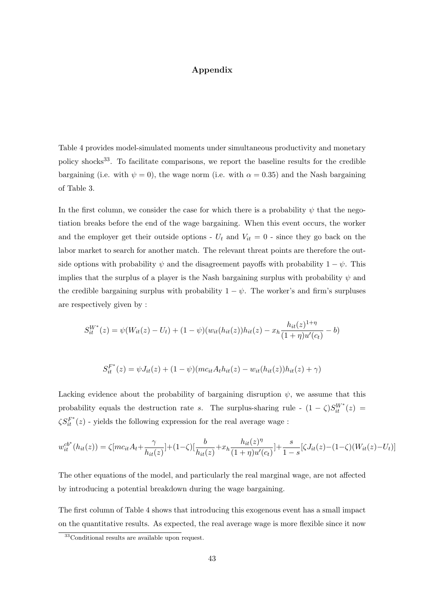#### Appendix

Table 4 provides model-simulated moments under simultaneous productivity and monetary policy shocks<sup>33</sup>. To facilitate comparisons, we report the baseline results for the credible bargaining (i.e. with  $\psi = 0$ ), the wage norm (i.e. with  $\alpha = 0.35$ ) and the Nash bargaining of Table 3.

In the first column, we consider the case for which there is a probability  $\psi$  that the negotiation breaks before the end of the wage bargaining. When this event occurs, the worker and the employer get their outside options -  $U_t$  and  $V_{it} = 0$  - since they go back on the labor market to search for another match. The relevant threat points are therefore the outside options with probability  $\psi$  and the disagreement payoffs with probability  $1 - \psi$ . This implies that the surplus of a player is the Nash bargaining surplus with probability  $\psi$  and the credible bargaining surplus with probability  $1 - \psi$ . The worker's and firm's surpluses are respectively given by :

$$
S_{it}^{W^*}(z) = \psi(W_{it}(z) - U_t) + (1 - \psi)(w_{it}(h_{it}(z))h_{it}(z) - x_h \frac{h_{it}(z)^{1+\eta}}{(1+\eta)u'(c_t)} - b)
$$

$$
S_{it}^{F^*}(z) = \psi J_{it}(z) + (1 - \psi)(mc_{it}A_t h_{it}(z) - w_{it}(h_{it}(z))h_{it}(z) + \gamma)
$$

Lacking evidence about the probability of bargaining disruption  $\psi$ , we assume that this probability equals the destruction rate s. The surplus-sharing rule -  $(1 - \zeta)S_{it}^{W^*}(z)$  =  $\zeta S_{it}^{F^*}(z)$  - yields the following expression for the real average wage :

$$
w_{it}^{cb^*}(h_{it}(z)) = \zeta[mc_{it}A_t + \frac{\gamma}{h_{it}(z)}] + (1-\zeta)\left[\frac{b}{h_{it}(z)} + x_h \frac{h_{it}(z)\eta}{(1+\eta)u'(c_t)}\right] + \frac{s}{1-s}[\zeta J_{it}(z) - (1-\zeta)(W_{it}(z) - U_t)]
$$

The other equations of the model, and particularly the real marginal wage, are not affected by introducing a potential breakdown during the wage bargaining.

The first column of Table 4 shows that introducing this exogenous event has a small impact on the quantitative results. As expected, the real average wage is more flexible since it now

<sup>33</sup>Conditional results are available upon request.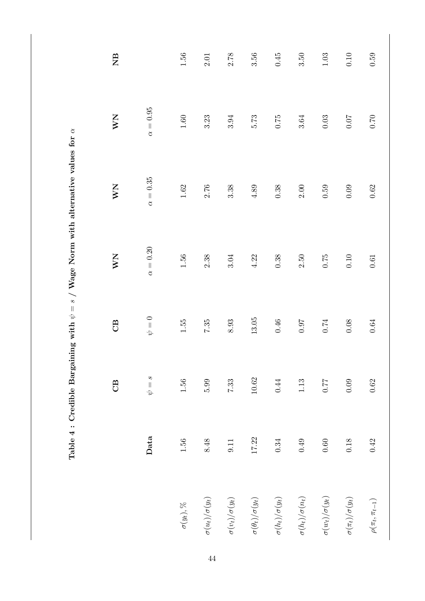|            | CB        | CB        | WN            | <b>NN</b>     | <b>NM</b>     | $\mathbf{B}$ |
|------------|-----------|-----------|---------------|---------------|---------------|--------------|
| Data       | $\psi=s$  | $\psi=0$  | $\alpha=0.20$ | $\alpha=0.35$ | $\alpha=0.95$ |              |
| $1.56\,$   | $1.56\,$  | 1.55      | $1.56\,$      | $1.62\,$      | $1.60\,$      | 1.56         |
| 8.48       | 5.99      | 7.35      | $2.38\,$      | 2.76          | 3.23          | $2.01\,$     |
| 9.11       | 7.33      | 8.93      | $3.04\,$      | $3.38\,$      | 3.94          | 2.78         |
| 17.22      | $10.62\,$ | $13.05\,$ | $4.22$        | $4.89\,$      | 5.73          | 3.56         |
| $\!0.34\!$ | $0.44\,$  | $0.46\,$  | $0.38\,$      | $0.38\,$      | $0.75\,$      | 0.45         |
| $0.49\,$   | $1.13\,$  | $76.0\,$  | $2.50\,$      | $2.00\,$      | 3.64          | $3.50\,$     |
| $0.60\,$   | $77.0\,$  | $0.74\,$  | 0.75          | 0.59          | $0.03\,$      | $1.03$       |
| 0.18       | 0.09      | $0.08\,$  | 0.10          | 0.09          | $0.07$        | $0.10\,$     |
| 0.42       | $0.62\,$  | 0.64      | $0.61\,$      | $0.62\,$      | $0.70\,$      | $0.59\,$     |

Table 4 : Credible Bargaining with  $\psi=s$  / Wage Norm with alternative values for  $\alpha$ Table 4 : Credible Bargaining with  $\psi=s$  / Wage Norm with alternative values for  $\alpha$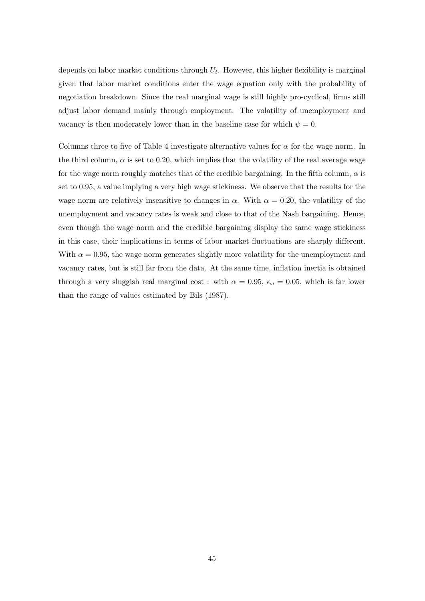depends on labor market conditions through  $U_t$ . However, this higher flexibility is marginal given that labor market conditions enter the wage equation only with the probability of negotiation breakdown. Since the real marginal wage is still highly pro-cyclical, firms still adjust labor demand mainly through employment. The volatility of unemployment and vacancy is then moderately lower than in the baseline case for which  $\psi = 0$ .

Columns three to five of Table 4 investigate alternative values for  $\alpha$  for the wage norm. In the third column,  $\alpha$  is set to 0.20, which implies that the volatility of the real average wage for the wage norm roughly matches that of the credible bargaining. In the fifth column,  $\alpha$  is set to 0.95, a value implying a very high wage stickiness. We observe that the results for the wage norm are relatively insensitive to changes in  $\alpha$ . With  $\alpha = 0.20$ , the volatility of the unemployment and vacancy rates is weak and close to that of the Nash bargaining. Hence, even though the wage norm and the credible bargaining display the same wage stickiness in this case, their implications in terms of labor market fluctuations are sharply different. With  $\alpha = 0.95$ , the wage norm generates slightly more volatility for the unemployment and vacancy rates, but is still far from the data. At the same time, inflation inertia is obtained through a very sluggish real marginal cost : with  $\alpha = 0.95$ ,  $\epsilon_{\omega} = 0.05$ , which is far lower than the range of values estimated by Bils (1987).